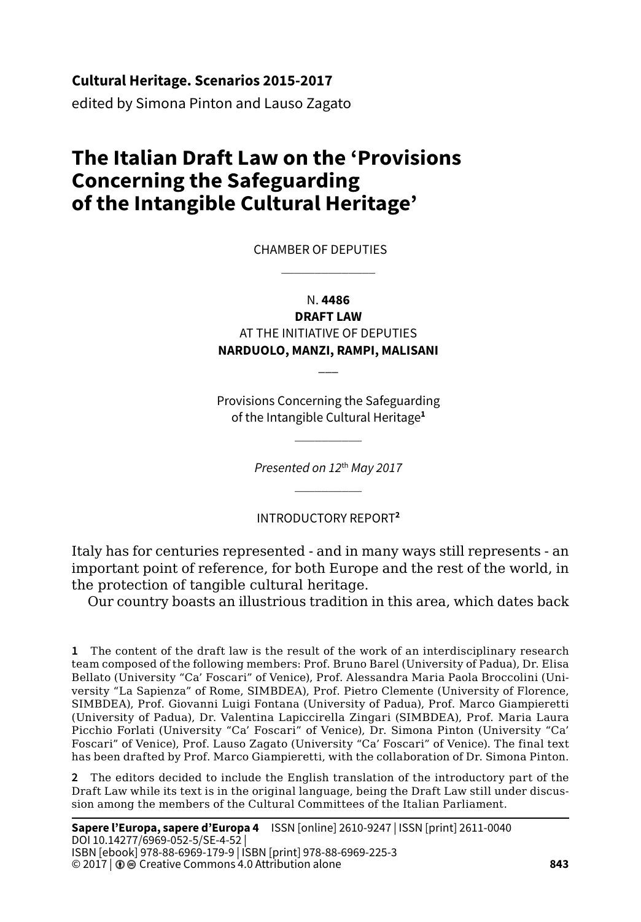**Cultural Heritage. Scenarios 2015-2017**

edited by Simona Pinton and Lauso Zagato

# **The Italian Draft Law on the 'Provisions Concerning the Safeguarding of the Intangible Cultural Heritage'**

CHAMBER OF DEPUTIES  $\frac{1}{2}$ 

> N. **4486 DRAFT LAW**

AT THE INITIATIVE OF DEPUTIES **NARDUOLO, MANZI, RAMPI, MALISANI**

 $\overline{\phantom{a}}$ 

Provisions Concerning the Safeguarding of the Intangible Cultural Heritage**<sup>1</sup>**  $\mathcal{L}=\mathcal{L}$ 

> *Presented on 12*th *May 2017*  $\mathcal{L}=\mathcal{L}$

INTRODUCTORY REPORT**<sup>2</sup>**

Italy has for centuries represented - and in many ways still represents - an important point of reference, for both Europe and the rest of the world, in the protection of tangible cultural heritage.

Our country boasts an illustrious tradition in this area, which dates back

**1** The content of the draft law is the result of the work of an interdisciplinary research team composed of the following members: Prof. Bruno Barel (University of Padua), Dr. Elisa Bellato (University "Ca' Foscari" of Venice), Prof. Alessandra Maria Paola Broccolini (University "La Sapienza" of Rome, SIMBDEA), Prof. Pietro Clemente (University of Florence, SIMBDEA), Prof. Giovanni Luigi Fontana (University of Padua), Prof. Marco Giampieretti (University of Padua), Dr. Valentina Lapiccirella Zingari (SIMBDEA), Prof. Maria Laura Picchio Forlati (University "Ca' Foscari" of Venice), Dr. Simona Pinton (University "Ca' Foscari" of Venice), Prof. Lauso Zagato (University "Ca' Foscari" of Venice). The final text has been drafted by Prof. Marco Giampieretti, with the collaboration of Dr. Simona Pinton.

**2** The editors decided to include the English translation of the introductory part of the Draft Law while its text is in the original language, being the Draft Law still under discussion among the members of the Cultural Committees of the Italian Parliament.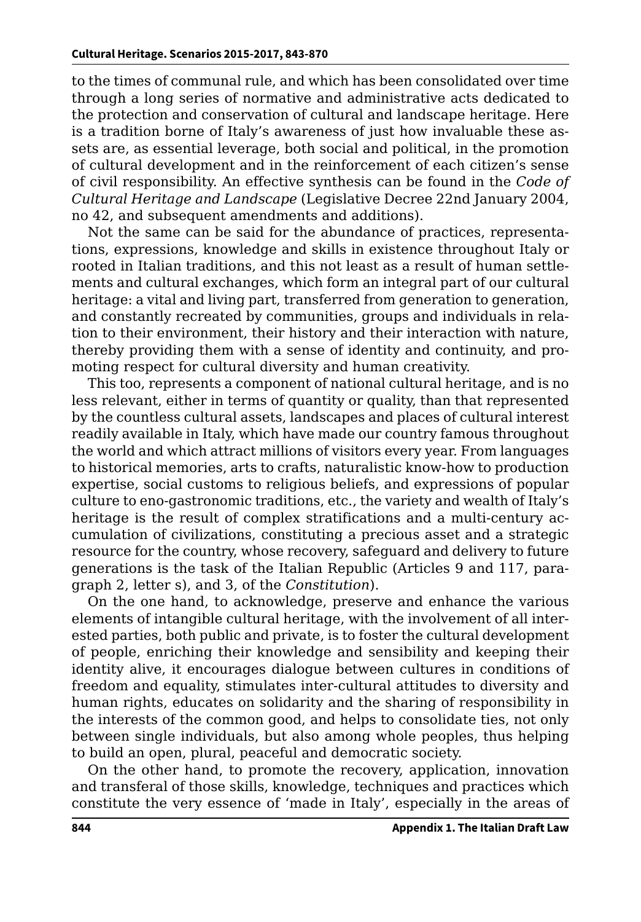to the times of communal rule, and which has been consolidated over time through a long series of normative and administrative acts dedicated to the protection and conservation of cultural and landscape heritage. Here is a tradition borne of Italy's awareness of just how invaluable these assets are, as essential leverage, both social and political, in the promotion of cultural development and in the reinforcement of each citizen's sense of civil responsibility. An effective synthesis can be found in the *Code of Cultural Heritage and Landscape* (Legislative Decree 22nd January 2004, no 42, and subsequent amendments and additions).

Not the same can be said for the abundance of practices, representations, expressions, knowledge and skills in existence throughout Italy or rooted in Italian traditions, and this not least as a result of human settlements and cultural exchanges, which form an integral part of our cultural heritage: a vital and living part, transferred from generation to generation, and constantly recreated by communities, groups and individuals in relation to their environment, their history and their interaction with nature, thereby providing them with a sense of identity and continuity, and promoting respect for cultural diversity and human creativity.

This too, represents a component of national cultural heritage, and is no less relevant, either in terms of quantity or quality, than that represented by the countless cultural assets, landscapes and places of cultural interest readily available in Italy, which have made our country famous throughout the world and which attract millions of visitors every year. From languages to historical memories, arts to crafts, naturalistic know-how to production expertise, social customs to religious beliefs, and expressions of popular culture to eno-gastronomic traditions, etc., the variety and wealth of Italy's heritage is the result of complex stratifications and a multi-century accumulation of civilizations, constituting a precious asset and a strategic resource for the country, whose recovery, safeguard and delivery to future generations is the task of the Italian Republic (Articles 9 and 117, paragraph 2, letter s), and 3, of the *Constitution*).

On the one hand, to acknowledge, preserve and enhance the various elements of intangible cultural heritage, with the involvement of all interested parties, both public and private, is to foster the cultural development of people, enriching their knowledge and sensibility and keeping their identity alive, it encourages dialogue between cultures in conditions of freedom and equality, stimulates inter-cultural attitudes to diversity and human rights, educates on solidarity and the sharing of responsibility in the interests of the common good, and helps to consolidate ties, not only between single individuals, but also among whole peoples, thus helping to build an open, plural, peaceful and democratic society.

On the other hand, to promote the recovery, application, innovation and transferal of those skills, knowledge, techniques and practices which constitute the very essence of 'made in Italy', especially in the areas of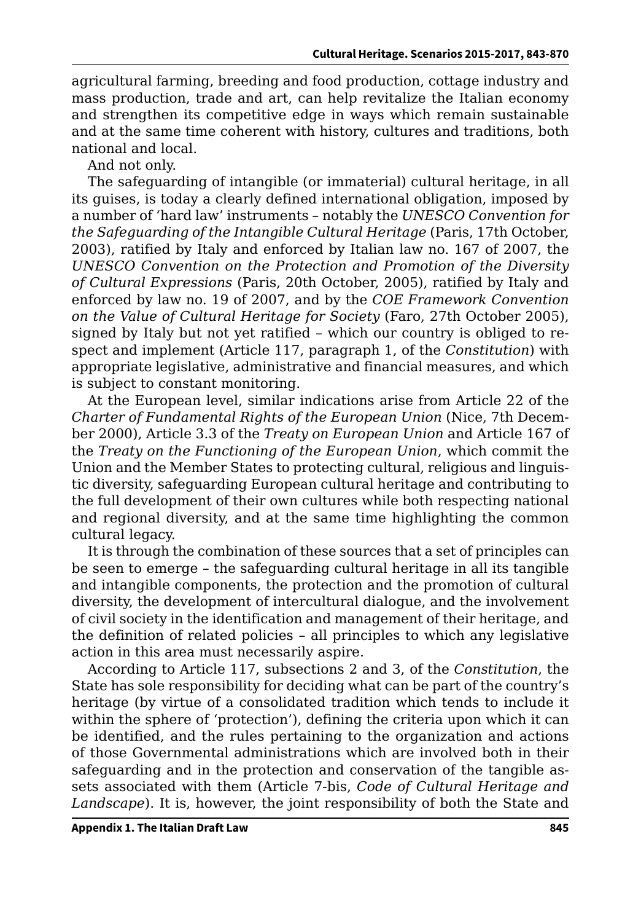agricultural farming, breeding and food production, cottage industry and mass production, trade and art, can help revitalize the Italian economy and strengthen its competitive edge in ways which remain sustainable and at the same time coherent with history, cultures and traditions, both national and local.

And not only.

The safeguarding of intangible (or immaterial) cultural heritage, in all its guises, is today a clearly defined international obligation, imposed by a number of 'hard law' instruments – notably the *UNESCO Convention for the Safeguarding of the Intangible Cultural Heritage* (Paris, 17th October, 2003), ratified by Italy and enforced by Italian law no. 167 of 2007, the *UNESCO Convention on the Protection and Promotion of the Diversity of Cultural Expressions* (Paris, 20th October, 2005), ratified by Italy and enforced by law no. 19 of 2007, and by the *COE Framework Convention on the Value of Cultural Heritage for Society* (Faro, 27th October 2005), signed by Italy but not yet ratified – which our country is obliged to respect and implement (Article 117, paragraph 1, of the *Constitution*) with appropriate legislative, administrative and financial measures, and which is subject to constant monitoring.

At the European level, similar indications arise from Article 22 of the *Charter of Fundamental Rights of the European Union* (Nice, 7th December 2000), Article 3.3 of the *Treaty on European Union* and Article 167 of the *Treaty on the Functioning of the European Union*, which commit the Union and the Member States to protecting cultural, religious and linguistic diversity, safeguarding European cultural heritage and contributing to the full development of their own cultures while both respecting national and regional diversity, and at the same time highlighting the common cultural legacy.

It is through the combination of these sources that a set of principles can be seen to emerge – the safeguarding cultural heritage in all its tangible and intangible components, the protection and the promotion of cultural diversity, the development of intercultural dialogue, and the involvement of civil society in the identification and management of their heritage, and the definition of related policies – all principles to which any legislative action in this area must necessarily aspire.

According to Article 117, subsections 2 and 3, of the *Constitution*, the State has sole responsibility for deciding what can be part of the country's heritage (by virtue of a consolidated tradition which tends to include it within the sphere of 'protection'), defining the criteria upon which it can be identified, and the rules pertaining to the organization and actions of those Governmental administrations which are involved both in their safeguarding and in the protection and conservation of the tangible assets associated with them (Article 7-bis, *Code of Cultural Heritage and Landscape*). It is, however, the joint responsibility of both the State and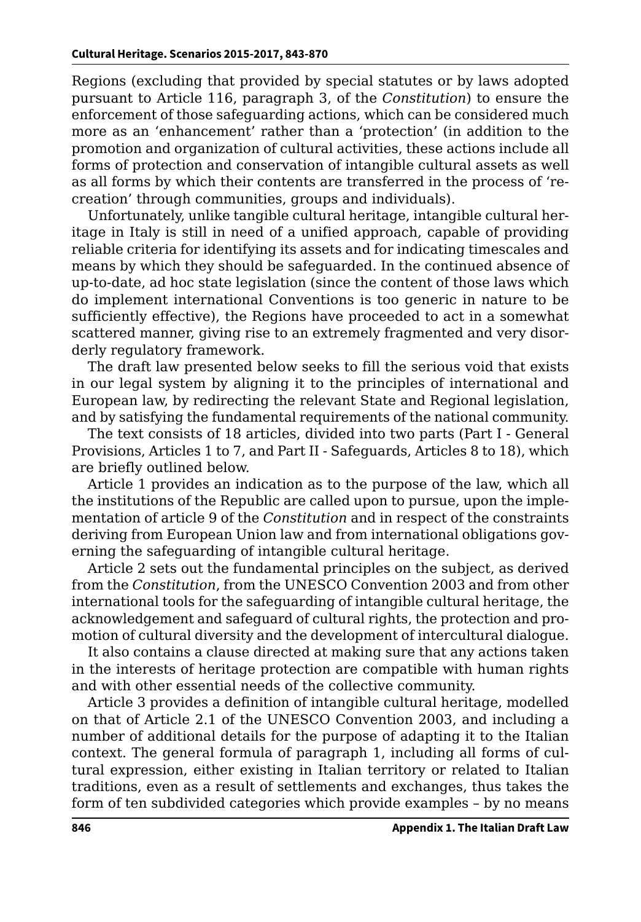Regions (excluding that provided by special statutes or by laws adopted pursuant to Article 116, paragraph 3, of the *Constitution*) to ensure the enforcement of those safeguarding actions, which can be considered much more as an 'enhancement' rather than a 'protection' (in addition to the promotion and organization of cultural activities, these actions include all forms of protection and conservation of intangible cultural assets as well as all forms by which their contents are transferred in the process of 'recreation' through communities, groups and individuals).

Unfortunately, unlike tangible cultural heritage, intangible cultural heritage in Italy is still in need of a unified approach, capable of providing reliable criteria for identifying its assets and for indicating timescales and means by which they should be safeguarded. In the continued absence of up-to-date, ad hoc state legislation (since the content of those laws which do implement international Conventions is too generic in nature to be sufficiently effective), the Regions have proceeded to act in a somewhat scattered manner, giving rise to an extremely fragmented and very disorderly regulatory framework.

The draft law presented below seeks to fill the serious void that exists in our legal system by aligning it to the principles of international and European law, by redirecting the relevant State and Regional legislation, and by satisfying the fundamental requirements of the national community.

The text consists of 18 articles, divided into two parts (Part I - General Provisions, Articles 1 to 7, and Part II - Safeguards, Articles 8 to 18), which are briefly outlined below.

Article 1 provides an indication as to the purpose of the law, which all the institutions of the Republic are called upon to pursue, upon the implementation of article 9 of the *Constitution* and in respect of the constraints deriving from European Union law and from international obligations governing the safeguarding of intangible cultural heritage.

Article 2 sets out the fundamental principles on the subject, as derived from the *Constitution*, from the UNESCO Convention 2003 and from other international tools for the safeguarding of intangible cultural heritage, the acknowledgement and safeguard of cultural rights, the protection and promotion of cultural diversity and the development of intercultural dialogue.

It also contains a clause directed at making sure that any actions taken in the interests of heritage protection are compatible with human rights and with other essential needs of the collective community.

Article 3 provides a definition of intangible cultural heritage, modelled on that of Article 2.1 of the UNESCO Convention 2003, and including a number of additional details for the purpose of adapting it to the Italian context. The general formula of paragraph 1, including all forms of cultural expression, either existing in Italian territory or related to Italian traditions, even as a result of settlements and exchanges, thus takes the form of ten subdivided categories which provide examples – by no means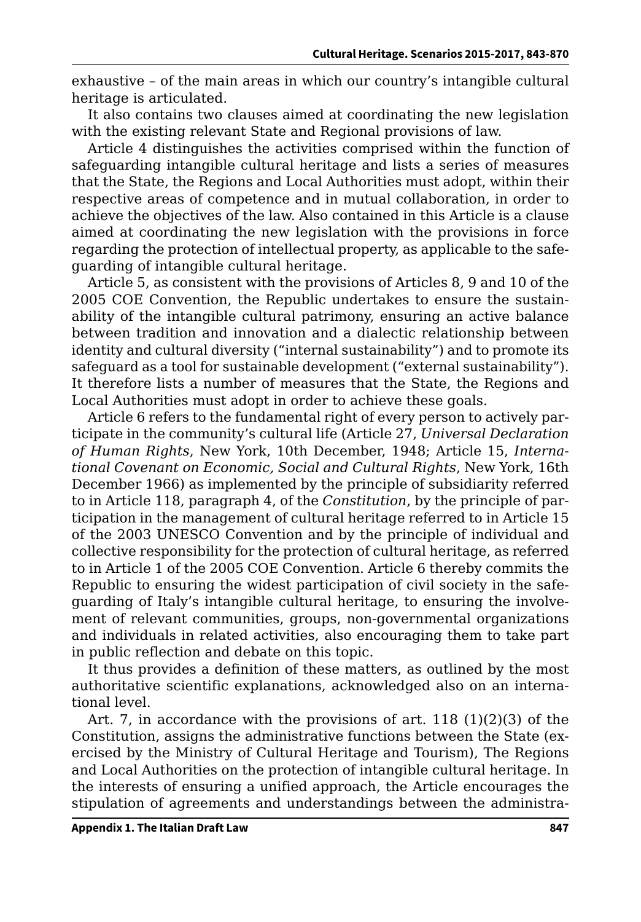exhaustive – of the main areas in which our country's intangible cultural heritage is articulated.

It also contains two clauses aimed at coordinating the new legislation with the existing relevant State and Regional provisions of law.

Article 4 distinguishes the activities comprised within the function of safeguarding intangible cultural heritage and lists a series of measures that the State, the Regions and Local Authorities must adopt, within their respective areas of competence and in mutual collaboration, in order to achieve the objectives of the law. Also contained in this Article is a clause aimed at coordinating the new legislation with the provisions in force regarding the protection of intellectual property, as applicable to the safeguarding of intangible cultural heritage.

Article 5, as consistent with the provisions of Articles 8, 9 and 10 of the 2005 COE Convention, the Republic undertakes to ensure the sustainability of the intangible cultural patrimony, ensuring an active balance between tradition and innovation and a dialectic relationship between identity and cultural diversity ("internal sustainability") and to promote its safeguard as a tool for sustainable development ("external sustainability"). It therefore lists a number of measures that the State, the Regions and Local Authorities must adopt in order to achieve these goals.

Article 6 refers to the fundamental right of every person to actively participate in the community's cultural life (Article 27, *Universal Declaration of Human Rights*, New York, 10th December, 1948; Article 15, *International Covenant on Economic, Social and Cultural Rights*, New York, 16th December 1966) as implemented by the principle of subsidiarity referred to in Article 118, paragraph 4, of the *Constitution*, by the principle of participation in the management of cultural heritage referred to in Article 15 of the 2003 UNESCO Convention and by the principle of individual and collective responsibility for the protection of cultural heritage, as referred to in Article 1 of the 2005 COE Convention. Article 6 thereby commits the Republic to ensuring the widest participation of civil society in the safeguarding of Italy's intangible cultural heritage, to ensuring the involvement of relevant communities, groups, non-governmental organizations and individuals in related activities, also encouraging them to take part in public reflection and debate on this topic.

It thus provides a definition of these matters, as outlined by the most authoritative scientific explanations, acknowledged also on an international level.

Art. 7, in accordance with the provisions of art. 118 (1)(2)(3) of the Constitution, assigns the administrative functions between the State (exercised by the Ministry of Cultural Heritage and Tourism), The Regions and Local Authorities on the protection of intangible cultural heritage. In the interests of ensuring a unified approach, the Article encourages the stipulation of agreements and understandings between the administra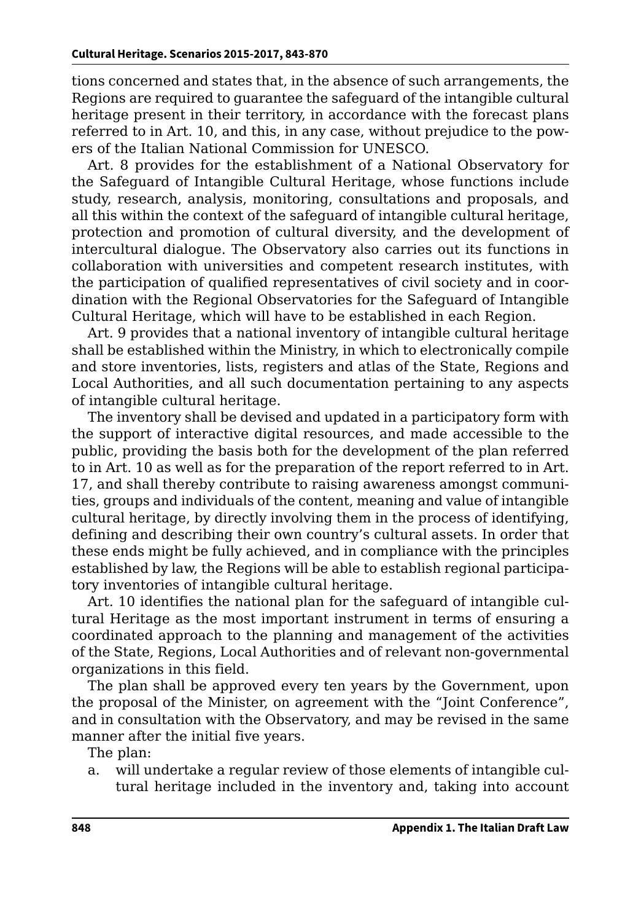tions concerned and states that, in the absence of such arrangements, the Regions are required to guarantee the safeguard of the intangible cultural heritage present in their territory, in accordance with the forecast plans referred to in Art. 10, and this, in any case, without prejudice to the powers of the Italian National Commission for UNESCO.

Art. 8 provides for the establishment of a National Observatory for the Safeguard of Intangible Cultural Heritage, whose functions include study, research, analysis, monitoring, consultations and proposals, and all this within the context of the safeguard of intangible cultural heritage, protection and promotion of cultural diversity, and the development of intercultural dialogue. The Observatory also carries out its functions in collaboration with universities and competent research institutes, with the participation of qualified representatives of civil society and in coordination with the Regional Observatories for the Safeguard of Intangible Cultural Heritage, which will have to be established in each Region.

Art. 9 provides that a national inventory of intangible cultural heritage shall be established within the Ministry, in which to electronically compile and store inventories, lists, registers and atlas of the State, Regions and Local Authorities, and all such documentation pertaining to any aspects of intangible cultural heritage.

The inventory shall be devised and updated in a participatory form with the support of interactive digital resources, and made accessible to the public, providing the basis both for the development of the plan referred to in Art. 10 as well as for the preparation of the report referred to in Art. 17, and shall thereby contribute to raising awareness amongst communities, groups and individuals of the content, meaning and value of intangible cultural heritage, by directly involving them in the process of identifying, defining and describing their own country's cultural assets. In order that these ends might be fully achieved, and in compliance with the principles established by law, the Regions will be able to establish regional participatory inventories of intangible cultural heritage.

Art. 10 identifies the national plan for the safeguard of intangible cultural Heritage as the most important instrument in terms of ensuring a coordinated approach to the planning and management of the activities of the State, Regions, Local Authorities and of relevant non-governmental organizations in this field.

The plan shall be approved every ten years by the Government, upon the proposal of the Minister, on agreement with the "Joint Conference", and in consultation with the Observatory, and may be revised in the same manner after the initial five years.

The plan:

a. will undertake a regular review of those elements of intangible cultural heritage included in the inventory and, taking into account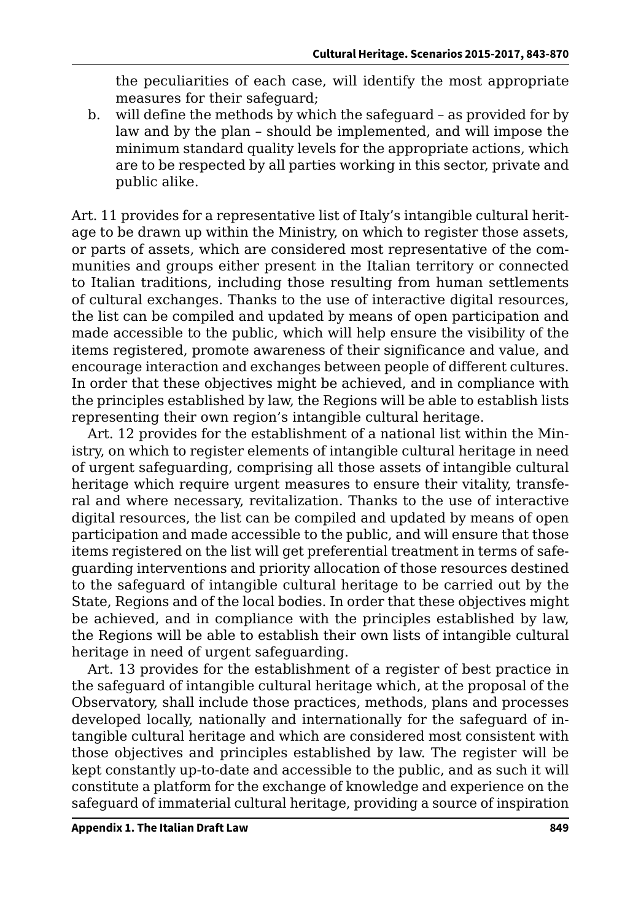the peculiarities of each case, will identify the most appropriate measures for their safeguard;

b. will define the methods by which the safeguard – as provided for by law and by the plan – should be implemented, and will impose the minimum standard quality levels for the appropriate actions, which are to be respected by all parties working in this sector, private and public alike.

Art. 11 provides for a representative list of Italy's intangible cultural heritage to be drawn up within the Ministry, on which to register those assets, or parts of assets, which are considered most representative of the communities and groups either present in the Italian territory or connected to Italian traditions, including those resulting from human settlements of cultural exchanges. Thanks to the use of interactive digital resources, the list can be compiled and updated by means of open participation and made accessible to the public, which will help ensure the visibility of the items registered, promote awareness of their significance and value, and encourage interaction and exchanges between people of different cultures. In order that these objectives might be achieved, and in compliance with the principles established by law, the Regions will be able to establish lists representing their own region's intangible cultural heritage.

Art. 12 provides for the establishment of a national list within the Ministry, on which to register elements of intangible cultural heritage in need of urgent safeguarding, comprising all those assets of intangible cultural heritage which require urgent measures to ensure their vitality, transferal and where necessary, revitalization. Thanks to the use of interactive digital resources, the list can be compiled and updated by means of open participation and made accessible to the public, and will ensure that those items registered on the list will get preferential treatment in terms of safeguarding interventions and priority allocation of those resources destined to the safeguard of intangible cultural heritage to be carried out by the State, Regions and of the local bodies. In order that these objectives might be achieved, and in compliance with the principles established by law, the Regions will be able to establish their own lists of intangible cultural heritage in need of urgent safeguarding.

Art. 13 provides for the establishment of a register of best practice in the safeguard of intangible cultural heritage which, at the proposal of the Observatory, shall include those practices, methods, plans and processes developed locally, nationally and internationally for the safeguard of intangible cultural heritage and which are considered most consistent with those objectives and principles established by law. The register will be kept constantly up-to-date and accessible to the public, and as such it will constitute a platform for the exchange of knowledge and experience on the safeguard of immaterial cultural heritage, providing a source of inspiration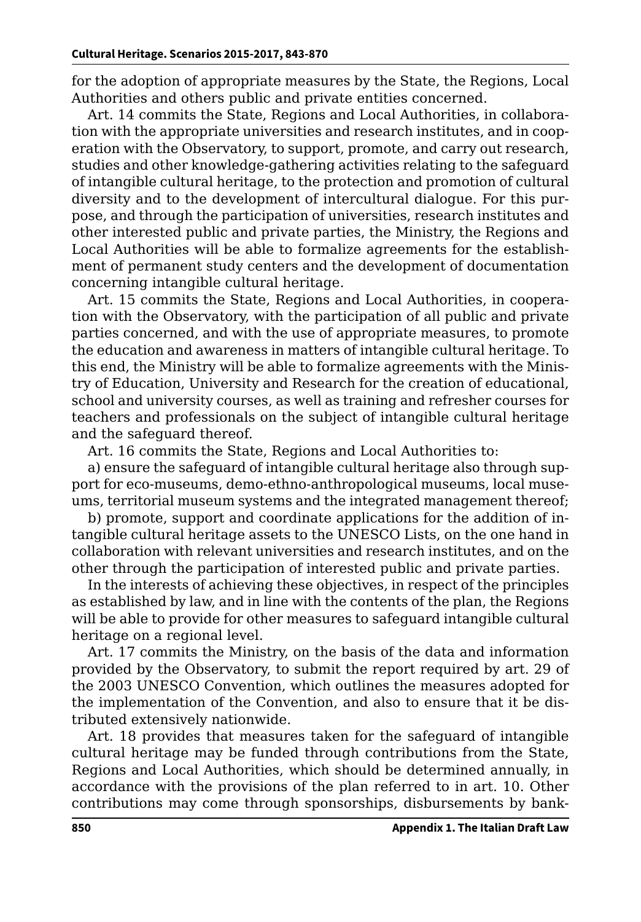for the adoption of appropriate measures by the State, the Regions, Local Authorities and others public and private entities concerned.

Art. 14 commits the State, Regions and Local Authorities, in collaboration with the appropriate universities and research institutes, and in cooperation with the Observatory, to support, promote, and carry out research, studies and other knowledge-gathering activities relating to the safeguard of intangible cultural heritage, to the protection and promotion of cultural diversity and to the development of intercultural dialogue. For this purpose, and through the participation of universities, research institutes and other interested public and private parties, the Ministry, the Regions and Local Authorities will be able to formalize agreements for the establishment of permanent study centers and the development of documentation concerning intangible cultural heritage.

Art. 15 commits the State, Regions and Local Authorities, in cooperation with the Observatory, with the participation of all public and private parties concerned, and with the use of appropriate measures, to promote the education and awareness in matters of intangible cultural heritage. To this end, the Ministry will be able to formalize agreements with the Ministry of Education, University and Research for the creation of educational, school and university courses, as well as training and refresher courses for teachers and professionals on the subject of intangible cultural heritage and the safeguard thereof.

Art. 16 commits the State, Regions and Local Authorities to:

a) ensure the safeguard of intangible cultural heritage also through support for eco-museums, demo-ethno-anthropological museums, local museums, territorial museum systems and the integrated management thereof;

b) promote, support and coordinate applications for the addition of intangible cultural heritage assets to the UNESCO Lists, on the one hand in collaboration with relevant universities and research institutes, and on the other through the participation of interested public and private parties.

In the interests of achieving these objectives, in respect of the principles as established by law, and in line with the contents of the plan, the Regions will be able to provide for other measures to safeguard intangible cultural heritage on a regional level.

Art. 17 commits the Ministry, on the basis of the data and information provided by the Observatory, to submit the report required by art. 29 of the 2003 UNESCO Convention, which outlines the measures adopted for the implementation of the Convention, and also to ensure that it be distributed extensively nationwide.

Art. 18 provides that measures taken for the safeguard of intangible cultural heritage may be funded through contributions from the State, Regions and Local Authorities, which should be determined annually, in accordance with the provisions of the plan referred to in art. 10. Other contributions may come through sponsorships, disbursements by bank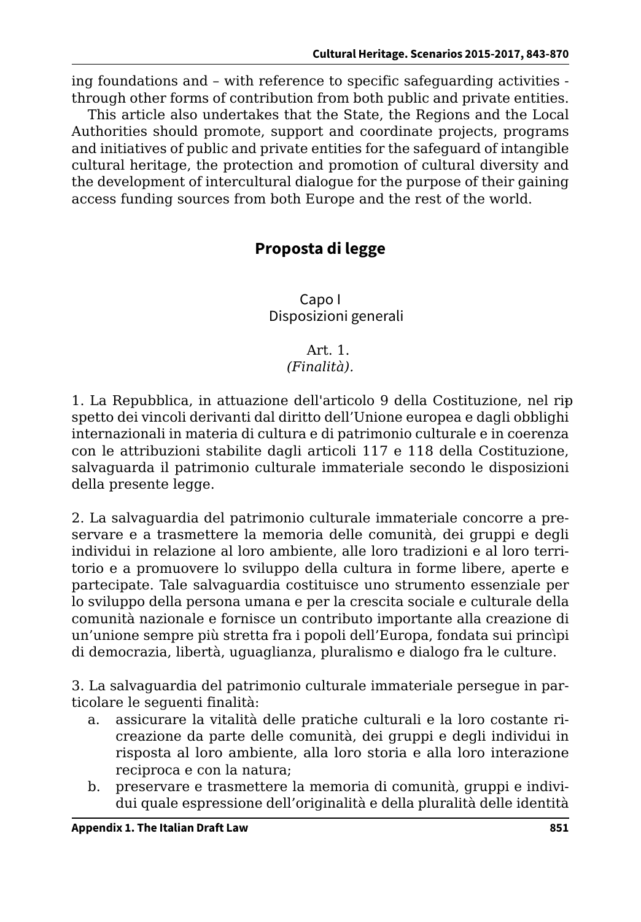ing foundations and – with reference to specific safeguarding activities through other forms of contribution from both public and private entities.

This article also undertakes that the State, the Regions and the Local Authorities should promote, support and coordinate projects, programs and initiatives of public and private entities for the safeguard of intangible cultural heritage, the protection and promotion of cultural diversity and the development of intercultural dialogue for the purpose of their gaining access funding sources from both Europe and the rest of the world.

# **Proposta di legge**

Capo I Disposizioni generali

## Art. 1.

## *(Finalità).*

1. La Repubblica, in attuazione dell'articolo 9 della Costituzione, nel rip spetto dei vincoli derivanti dal diritto dell'Unione europea e dagli obblighi internazionali in materia di cultura e di patrimonio culturale e in coerenza con le attribuzioni stabilite dagli articoli 117 e 118 della Costituzione, salvaguarda il patrimonio culturale immateriale secondo le disposizioni della presente legge.

2. La salvaguardia del patrimonio culturale immateriale concorre a preservare e a trasmettere la memoria delle comunità, dei gruppi e degli individui in relazione al loro ambiente, alle loro tradizioni e al loro territorio e a promuovere lo sviluppo della cultura in forme libere, aperte e partecipate. Tale salvaguardia costituisce uno strumento essenziale per lo sviluppo della persona umana e per la crescita sociale e culturale della comunità nazionale e fornisce un contributo importante alla creazione di un'unione sempre più stretta fra i popoli dell'Europa, fondata sui princìpi di democrazia, libertà, uguaglianza, pluralismo e dialogo fra le culture.

3. La salvaguardia del patrimonio culturale immateriale persegue in particolare le seguenti finalità:

- a. assicurare la vitalità delle pratiche culturali e la loro costante ricreazione da parte delle comunità, dei gruppi e degli individui in risposta al loro ambiente, alla loro storia e alla loro interazione reciproca e con la natura;
- b. preservare e trasmettere la memoria di comunità, gruppi e individui quale espressione dell'originalità e della pluralità delle identità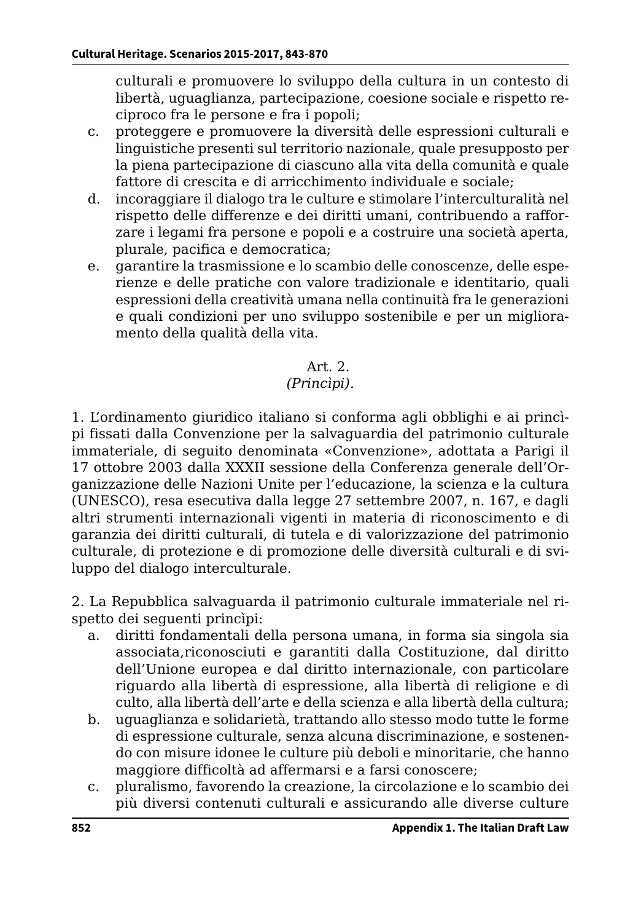culturali e promuovere lo sviluppo della cultura in un contesto di libertà, uguaglianza, partecipazione, coesione sociale e rispetto reciproco fra le persone e fra i popoli;

- c. proteggere e promuovere la diversità delle espressioni culturali e linguistiche presenti sul territorio nazionale, quale presupposto per la piena partecipazione di ciascuno alla vita della comunità e quale fattore di crescita e di arricchimento individuale e sociale;
- d. incoraggiare il dialogo tra le culture e stimolare l'interculturalità nel rispetto delle differenze e dei diritti umani, contribuendo a rafforzare i legami fra persone e popoli e a costruire una società aperta, plurale, pacifica e democratica;
- e. garantire la trasmissione e lo scambio delle conoscenze, delle esperienze e delle pratiche con valore tradizionale e identitario, quali espressioni della creatività umana nella continuità fra le generazioni e quali condizioni per uno sviluppo sostenibile e per un miglioramento della qualità della vita.

#### Art. 2. *(Princìpi).*

1. L'ordinamento giuridico italiano si conforma agli obblighi e ai princìpi fissati dalla Convenzione per la salvaguardia del patrimonio culturale immateriale, di seguito denominata «Convenzione», adottata a Parigi il 17 ottobre 2003 dalla XXXII sessione della Conferenza generale dell'Organizzazione delle Nazioni Unite per l'educazione, la scienza e la cultura (UNESCO), resa esecutiva dalla legge 27 settembre 2007, n. 167, e dagli altri strumenti internazionali vigenti in materia di riconoscimento e di garanzia dei diritti culturali, di tutela e di valorizzazione del patrimonio culturale, di protezione e di promozione delle diversità culturali e di sviluppo del dialogo interculturale.

2. La Repubblica salvaguarda il patrimonio culturale immateriale nel rispetto dei seguenti princìpi:

- a. diritti fondamentali della persona umana, in forma sia singola sia associata,riconosciuti e garantiti dalla Costituzione, dal diritto dell'Unione europea e dal diritto internazionale, con particolare riguardo alla libertà di espressione, alla libertà di religione e di culto, alla libertà dell'arte e della scienza e alla libertà della cultura;
- b. uguaglianza e solidarietà, trattando allo stesso modo tutte le forme di espressione culturale, senza alcuna discriminazione, e sostenendo con misure idonee le culture più deboli e minoritarie, che hanno maggiore difficoltà ad affermarsi e a farsi conoscere;
- c. pluralismo, favorendo la creazione, la circolazione e lo scambio dei più diversi contenuti culturali e assicurando alle diverse culture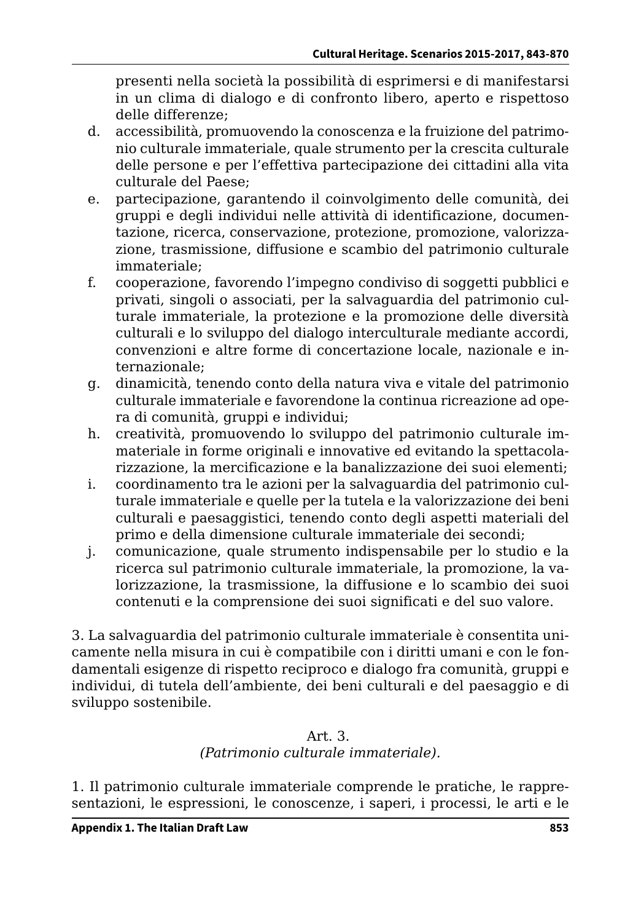presenti nella società la possibilità di esprimersi e di manifestarsi in un clima di dialogo e di confronto libero, aperto e rispettoso delle differenze;

- d. accessibilità, promuovendo la conoscenza e la fruizione del patrimonio culturale immateriale, quale strumento per la crescita culturale delle persone e per l'effettiva partecipazione dei cittadini alla vita culturale del Paese;
- e. partecipazione, garantendo il coinvolgimento delle comunità, dei gruppi e degli individui nelle attività di identificazione, documentazione, ricerca, conservazione, protezione, promozione, valorizzazione, trasmissione, diffusione e scambio del patrimonio culturale immateriale;
- f. cooperazione, favorendo l'impegno condiviso di soggetti pubblici e privati, singoli o associati, per la salvaguardia del patrimonio culturale immateriale, la protezione e la promozione delle diversità culturali e lo sviluppo del dialogo interculturale mediante accordi, convenzioni e altre forme di concertazione locale, nazionale e internazionale;
- g. dinamicità, tenendo conto della natura viva e vitale del patrimonio culturale immateriale e favorendone la continua ricreazione ad opera di comunità, gruppi e individui;
- h. creatività, promuovendo lo sviluppo del patrimonio culturale immateriale in forme originali e innovative ed evitando la spettacolarizzazione, la mercificazione e la banalizzazione dei suoi elementi;
- i. coordinamento tra le azioni per la salvaguardia del patrimonio culturale immateriale e quelle per la tutela e la valorizzazione dei beni culturali e paesaggistici, tenendo conto degli aspetti materiali del primo e della dimensione culturale immateriale dei secondi;
- j. comunicazione, quale strumento indispensabile per lo studio e la ricerca sul patrimonio culturale immateriale, la promozione, la valorizzazione, la trasmissione, la diffusione e lo scambio dei suoi contenuti e la comprensione dei suoi significati e del suo valore.

3. La salvaguardia del patrimonio culturale immateriale è consentita unicamente nella misura in cui è compatibile con i diritti umani e con le fondamentali esigenze di rispetto reciproco e dialogo fra comunità, gruppi e individui, di tutela dell'ambiente, dei beni culturali e del paesaggio e di sviluppo sostenibile.

## Art. 3. *(Patrimonio culturale immateriale).*

1. Il patrimonio culturale immateriale comprende le pratiche, le rappresentazioni, le espressioni, le conoscenze, i saperi, i processi, le arti e le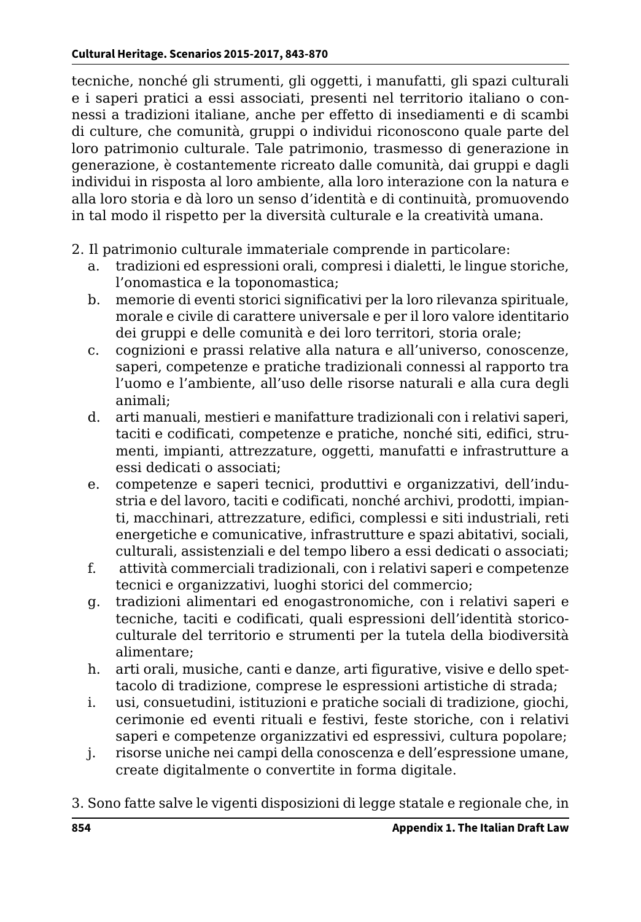tecniche, nonché gli strumenti, gli oggetti, i manufatti, gli spazi culturali e i saperi pratici a essi associati, presenti nel territorio italiano o connessi a tradizioni italiane, anche per effetto di insediamenti e di scambi di culture, che comunità, gruppi o individui riconoscono quale parte del loro patrimonio culturale. Tale patrimonio, trasmesso di generazione in generazione, è costantemente ricreato dalle comunità, dai gruppi e dagli individui in risposta al loro ambiente, alla loro interazione con la natura e alla loro storia e dà loro un senso d'identità e di continuità, promuovendo in tal modo il rispetto per la diversità culturale e la creatività umana.

- 2. Il patrimonio culturale immateriale comprende in particolare:
	- a. tradizioni ed espressioni orali, compresi i dialetti, le lingue storiche, l'onomastica e la toponomastica;
	- b. memorie di eventi storici significativi per la loro rilevanza spirituale, morale e civile di carattere universale e per il loro valore identitario dei gruppi e delle comunità e dei loro territori, storia orale;
	- c. cognizioni e prassi relative alla natura e all'universo, conoscenze, saperi, competenze e pratiche tradizionali connessi al rapporto tra l'uomo e l'ambiente, all'uso delle risorse naturali e alla cura degli animali;
	- d. arti manuali, mestieri e manifatture tradizionali con i relativi saperi, taciti e codificati, competenze e pratiche, nonché siti, edifici, strumenti, impianti, attrezzature, oggetti, manufatti e infrastrutture a essi dedicati o associati;
	- e. competenze e saperi tecnici, produttivi e organizzativi, dell'industria e del lavoro, taciti e codificati, nonché archivi, prodotti, impianti, macchinari, attrezzature, edifici, complessi e siti industriali, reti energetiche e comunicative, infrastrutture e spazi abitativi, sociali, culturali, assistenziali e del tempo libero a essi dedicati o associati;
	- f. attività commerciali tradizionali, con i relativi saperi e competenze tecnici e organizzativi, luoghi storici del commercio;
	- g. tradizioni alimentari ed enogastronomiche, con i relativi saperi e tecniche, taciti e codificati, quali espressioni dell'identità storicoculturale del territorio e strumenti per la tutela della biodiversità alimentare;
	- h. arti orali, musiche, canti e danze, arti figurative, visive e dello spettacolo di tradizione, comprese le espressioni artistiche di strada;
	- i. usi, consuetudini, istituzioni e pratiche sociali di tradizione, giochi, cerimonie ed eventi rituali e festivi, feste storiche, con i relativi saperi e competenze organizzativi ed espressivi, cultura popolare;
	- j. risorse uniche nei campi della conoscenza e dell'espressione umane, create digitalmente o convertite in forma digitale.
- 3. Sono fatte salve le vigenti disposizioni di legge statale e regionale che, in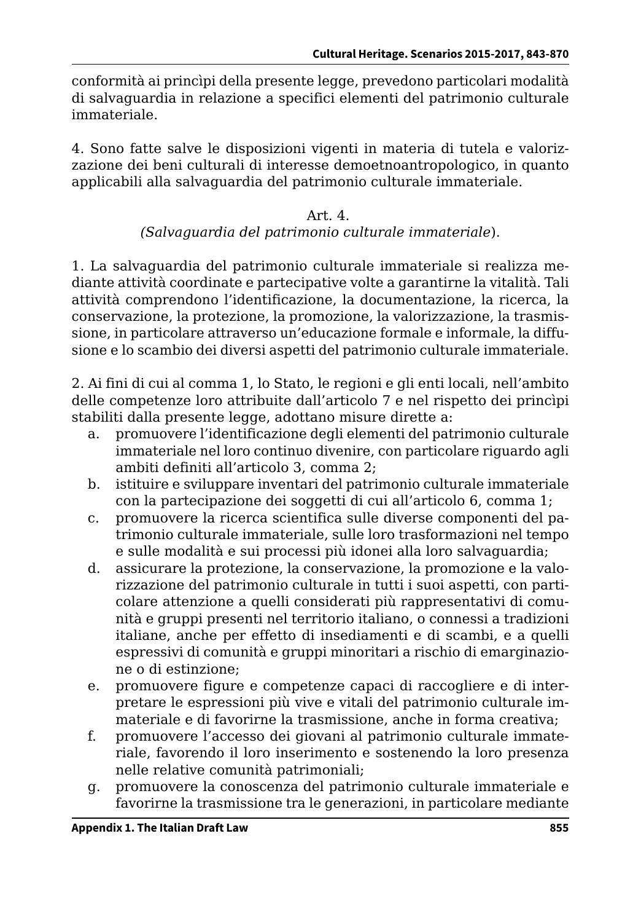conformità ai princìpi della presente legge, prevedono particolari modalità di salvaguardia in relazione a specifici elementi del patrimonio culturale immateriale.

4. Sono fatte salve le disposizioni vigenti in materia di tutela e valorizzazione dei beni culturali di interesse demoetnoantropologico, in quanto applicabili alla salvaguardia del patrimonio culturale immateriale.

#### Art. 4. *(Salvaguardia del patrimonio culturale immateriale*).

1. La salvaguardia del patrimonio culturale immateriale si realizza mediante attività coordinate e partecipative volte a garantirne la vitalità. Tali attività comprendono l'identificazione, la documentazione, la ricerca, la conservazione, la protezione, la promozione, la valorizzazione, la trasmissione, in particolare attraverso un'educazione formale e informale, la diffusione e lo scambio dei diversi aspetti del patrimonio culturale immateriale.

2. Ai fini di cui al comma 1, lo Stato, le regioni e gli enti locali, nell'ambito delle competenze loro attribuite dall'articolo 7 e nel rispetto dei princìpi stabiliti dalla presente legge, adottano misure dirette a:

- a. promuovere l'identificazione degli elementi del patrimonio culturale immateriale nel loro continuo divenire, con particolare riguardo agli ambiti definiti all'articolo 3, comma 2;
- b. istituire e sviluppare inventari del patrimonio culturale immateriale con la partecipazione dei soggetti di cui all'articolo 6, comma 1;
- c. promuovere la ricerca scientifica sulle diverse componenti del patrimonio culturale immateriale, sulle loro trasformazioni nel tempo e sulle modalità e sui processi più idonei alla loro salvaguardia;
- d. assicurare la protezione, la conservazione, la promozione e la valorizzazione del patrimonio culturale in tutti i suoi aspetti, con particolare attenzione a quelli considerati più rappresentativi di comunità e gruppi presenti nel territorio italiano, o connessi a tradizioni italiane, anche per effetto di insediamenti e di scambi, e a quelli espressivi di comunità e gruppi minoritari a rischio di emarginazione o di estinzione;
- e. promuovere figure e competenze capaci di raccogliere e di interpretare le espressioni più vive e vitali del patrimonio culturale immateriale e di favorirne la trasmissione, anche in forma creativa;
- f. promuovere l'accesso dei giovani al patrimonio culturale immateriale, favorendo il loro inserimento e sostenendo la loro presenza nelle relative comunità patrimoniali;
- g. promuovere la conoscenza del patrimonio culturale immateriale e favorirne la trasmissione tra le generazioni, in particolare mediante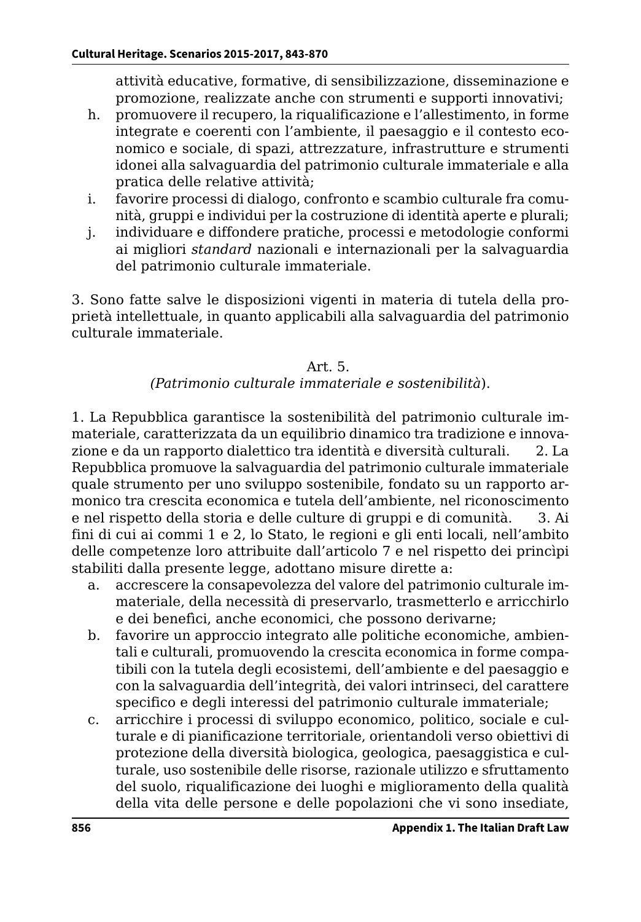attività educative, formative, di sensibilizzazione, disseminazione e promozione, realizzate anche con strumenti e supporti innovativi;

- h. promuovere il recupero, la riqualificazione e l'allestimento, in forme integrate e coerenti con l'ambiente, il paesaggio e il contesto economico e sociale, di spazi, attrezzature, infrastrutture e strumenti idonei alla salvaguardia del patrimonio culturale immateriale e alla pratica delle relative attività;
- i. favorire processi di dialogo, confronto e scambio culturale fra comunità, gruppi e individui per la costruzione di identità aperte e plurali;
- j. individuare e diffondere pratiche, processi e metodologie conformi ai migliori *standard* nazionali e internazionali per la salvaguardia del patrimonio culturale immateriale.

3. Sono fatte salve le disposizioni vigenti in materia di tutela della proprietà intellettuale, in quanto applicabili alla salvaguardia del patrimonio culturale immateriale.

#### Art. 5.

*(Patrimonio culturale immateriale e sostenibilità*).

1. La Repubblica garantisce la sostenibilità del patrimonio culturale immateriale, caratterizzata da un equilibrio dinamico tra tradizione e innovazione e da un rapporto dialettico tra identità e diversità culturali. 2. La Repubblica promuove la salvaguardia del patrimonio culturale immateriale quale strumento per uno sviluppo sostenibile, fondato su un rapporto armonico tra crescita economica e tutela dell'ambiente, nel riconoscimento e nel rispetto della storia e delle culture di gruppi e di comunità. 3. Ai fini di cui ai commi 1 e 2, lo Stato, le regioni e gli enti locali, nell'ambito delle competenze loro attribuite dall'articolo 7 e nel rispetto dei princìpi stabiliti dalla presente legge, adottano misure dirette a:

- a. accrescere la consapevolezza del valore del patrimonio culturale immateriale, della necessità di preservarlo, trasmetterlo e arricchirlo e dei benefìci, anche economici, che possono derivarne;
- b. favorire un approccio integrato alle politiche economiche, ambientali e culturali, promuovendo la crescita economica in forme compatibili con la tutela degli ecosistemi, dell'ambiente e del paesaggio e con la salvaguardia dell'integrità, dei valori intrinseci, del carattere specifico e degli interessi del patrimonio culturale immateriale;
- c. arricchire i processi di sviluppo economico, politico, sociale e culturale e di pianificazione territoriale, orientandoli verso obiettivi di protezione della diversità biologica, geologica, paesaggistica e culturale, uso sostenibile delle risorse, razionale utilizzo e sfruttamento del suolo, riqualificazione dei luoghi e miglioramento della qualità della vita delle persone e delle popolazioni che vi sono insediate,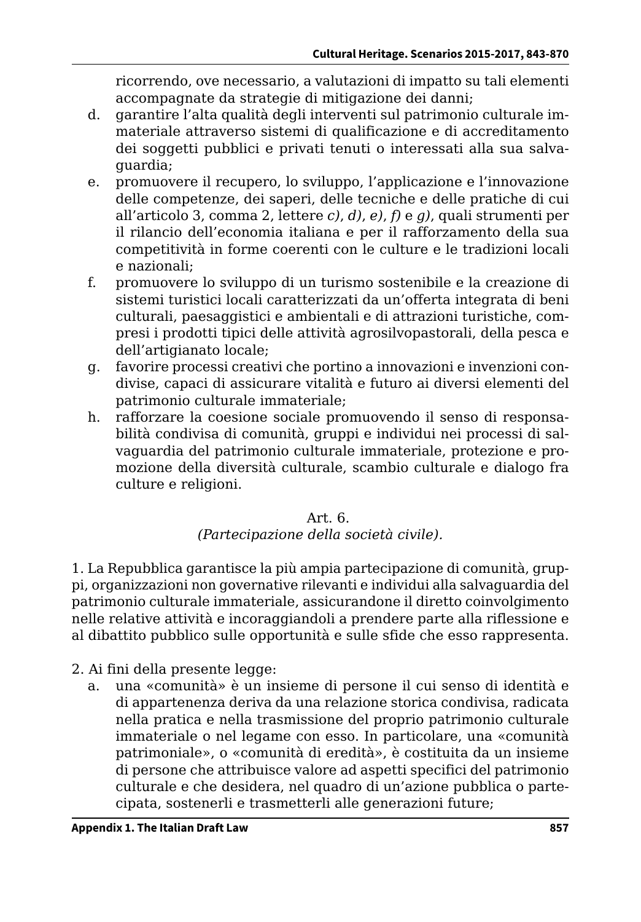ricorrendo, ove necessario, a valutazioni di impatto su tali elementi accompagnate da strategie di mitigazione dei danni;

- d. garantire l'alta qualità degli interventi sul patrimonio culturale immateriale attraverso sistemi di qualificazione e di accreditamento dei soggetti pubblici e privati tenuti o interessati alla sua salvaguardia;
- e. promuovere il recupero, lo sviluppo, l'applicazione e l'innovazione delle competenze, dei saperi, delle tecniche e delle pratiche di cui all'articolo 3, comma 2, lettere *c)*, *d)*, *e)*, *f)* e *g)*, quali strumenti per il rilancio dell'economia italiana e per il rafforzamento della sua competitività in forme coerenti con le culture e le tradizioni locali e nazionali;
- f. promuovere lo sviluppo di un turismo sostenibile e la creazione di sistemi turistici locali caratterizzati da un'offerta integrata di beni culturali, paesaggistici e ambientali e di attrazioni turistiche, compresi i prodotti tipici delle attività agrosilvopastorali, della pesca e dell'artigianato locale;
- g. favorire processi creativi che portino a innovazioni e invenzioni condivise, capaci di assicurare vitalità e futuro ai diversi elementi del patrimonio culturale immateriale;
- h. rafforzare la coesione sociale promuovendo il senso di responsabilità condivisa di comunità, gruppi e individui nei processi di salvaguardia del patrimonio culturale immateriale, protezione e promozione della diversità culturale, scambio culturale e dialogo fra culture e religioni.

# Art. 6.

*(Partecipazione della società civile).*

1. La Repubblica garantisce la più ampia partecipazione di comunità, gruppi, organizzazioni non governative rilevanti e individui alla salvaguardia del patrimonio culturale immateriale, assicurandone il diretto coinvolgimento nelle relative attività e incoraggiandoli a prendere parte alla riflessione e al dibattito pubblico sulle opportunità e sulle sfide che esso rappresenta.

- 2. Ai fini della presente legge:
	- a. una «comunità» è un insieme di persone il cui senso di identità e di appartenenza deriva da una relazione storica condivisa, radicata nella pratica e nella trasmissione del proprio patrimonio culturale immateriale o nel legame con esso. In particolare, una «comunità patrimoniale», o «comunità di eredità», è costituita da un insieme di persone che attribuisce valore ad aspetti specifici del patrimonio culturale e che desidera, nel quadro di un'azione pubblica o partecipata, sostenerli e trasmetterli alle generazioni future;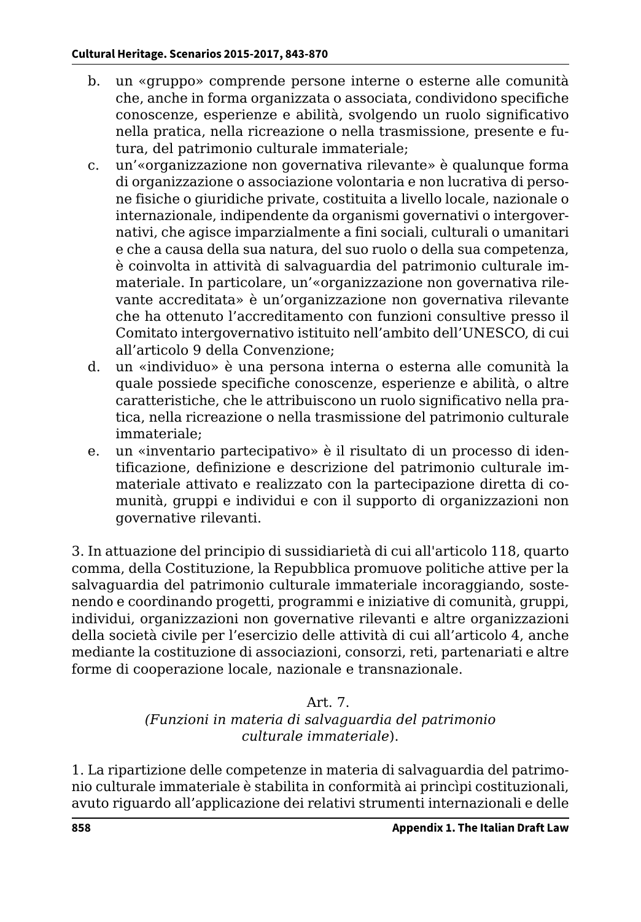- b. un «gruppo» comprende persone interne o esterne alle comunità che, anche in forma organizzata o associata, condividono specifiche conoscenze, esperienze e abilità, svolgendo un ruolo significativo nella pratica, nella ricreazione o nella trasmissione, presente e futura, del patrimonio culturale immateriale;
- c. un'«organizzazione non governativa rilevante» è qualunque forma di organizzazione o associazione volontaria e non lucrativa di persone fisiche o giuridiche private, costituita a livello locale, nazionale o internazionale, indipendente da organismi governativi o intergovernativi, che agisce imparzialmente a fini sociali, culturali o umanitari e che a causa della sua natura, del suo ruolo o della sua competenza, è coinvolta in attività di salvaguardia del patrimonio culturale immateriale. In particolare, un'«organizzazione non governativa rilevante accreditata» è un'organizzazione non governativa rilevante che ha ottenuto l'accreditamento con funzioni consultive presso il Comitato intergovernativo istituito nell'ambito dell'UNESCO, di cui all'articolo 9 della Convenzione;
- d. un «individuo» è una persona interna o esterna alle comunità la quale possiede specifiche conoscenze, esperienze e abilità, o altre caratteristiche, che le attribuiscono un ruolo significativo nella pratica, nella ricreazione o nella trasmissione del patrimonio culturale immateriale;
- e. un «inventario partecipativo» è il risultato di un processo di identificazione, definizione e descrizione del patrimonio culturale immateriale attivato e realizzato con la partecipazione diretta di comunità, gruppi e individui e con il supporto di organizzazioni non governative rilevanti.

3. In attuazione del principio di sussidiarietà di cui all'articolo 118, quarto comma, della Costituzione, la Repubblica promuove politiche attive per la salvaguardia del patrimonio culturale immateriale incoraggiando, sostenendo e coordinando progetti, programmi e iniziative di comunità, gruppi, individui, organizzazioni non governative rilevanti e altre organizzazioni della società civile per l'esercizio delle attività di cui all'articolo 4, anche mediante la costituzione di associazioni, consorzi, reti, partenariati e altre forme di cooperazione locale, nazionale e transnazionale.

## Art. 7.

## *(Funzioni in materia di salvaguardia del patrimonio culturale immateriale*).

1. La ripartizione delle competenze in materia di salvaguardia del patrimonio culturale immateriale è stabilita in conformità ai princìpi costituzionali, avuto riguardo all'applicazione dei relativi strumenti internazionali e delle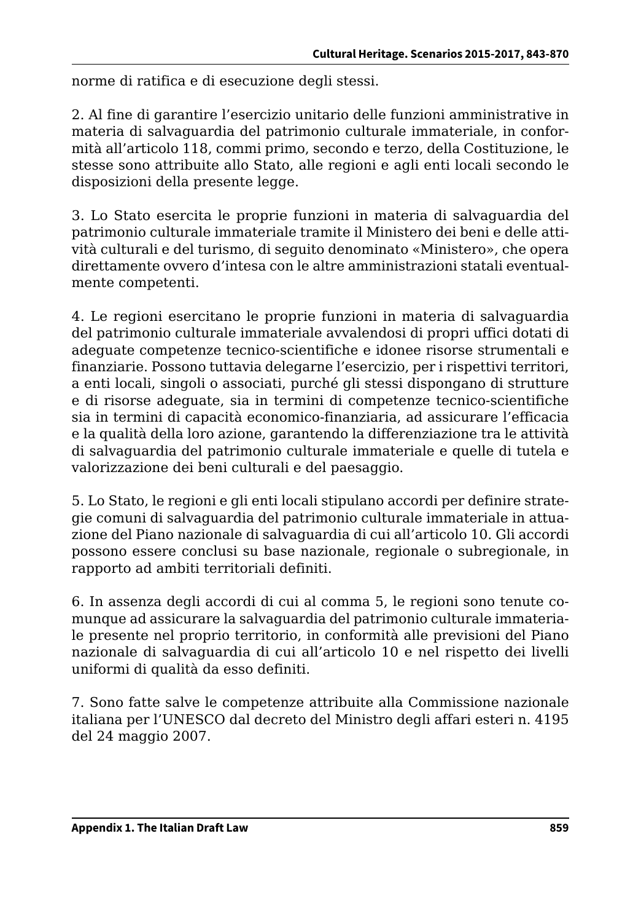norme di ratifica e di esecuzione degli stessi.

2. Al fine di garantire l'esercizio unitario delle funzioni amministrative in materia di salvaguardia del patrimonio culturale immateriale, in conformità all'articolo 118, commi primo, secondo e terzo, della Costituzione, le stesse sono attribuite allo Stato, alle regioni e agli enti locali secondo le disposizioni della presente legge.

3. Lo Stato esercita le proprie funzioni in materia di salvaguardia del patrimonio culturale immateriale tramite il Ministero dei beni e delle attività culturali e del turismo, di seguito denominato «Ministero», che opera direttamente ovvero d'intesa con le altre amministrazioni statali eventualmente competenti.

4. Le regioni esercitano le proprie funzioni in materia di salvaguardia del patrimonio culturale immateriale avvalendosi di propri uffici dotati di adeguate competenze tecnico-scientifiche e idonee risorse strumentali e finanziarie. Possono tuttavia delegarne l'esercizio, per i rispettivi territori, a enti locali, singoli o associati, purché gli stessi dispongano di strutture e di risorse adeguate, sia in termini di competenze tecnico-scientifiche sia in termini di capacità economico-finanziaria, ad assicurare l'efficacia e la qualità della loro azione, garantendo la differenziazione tra le attività di salvaguardia del patrimonio culturale immateriale e quelle di tutela e valorizzazione dei beni culturali e del paesaggio.

5. Lo Stato, le regioni e gli enti locali stipulano accordi per definire strategie comuni di salvaguardia del patrimonio culturale immateriale in attuazione del Piano nazionale di salvaguardia di cui all'articolo 10. Gli accordi possono essere conclusi su base nazionale, regionale o subregionale, in rapporto ad ambiti territoriali definiti.

6. In assenza degli accordi di cui al comma 5, le regioni sono tenute comunque ad assicurare la salvaguardia del patrimonio culturale immateriale presente nel proprio territorio, in conformità alle previsioni del Piano nazionale di salvaguardia di cui all'articolo 10 e nel rispetto dei livelli uniformi di qualità da esso definiti.

7. Sono fatte salve le competenze attribuite alla Commissione nazionale italiana per l'UNESCO dal decreto del Ministro degli affari esteri n. 4195 del 24 maggio 2007.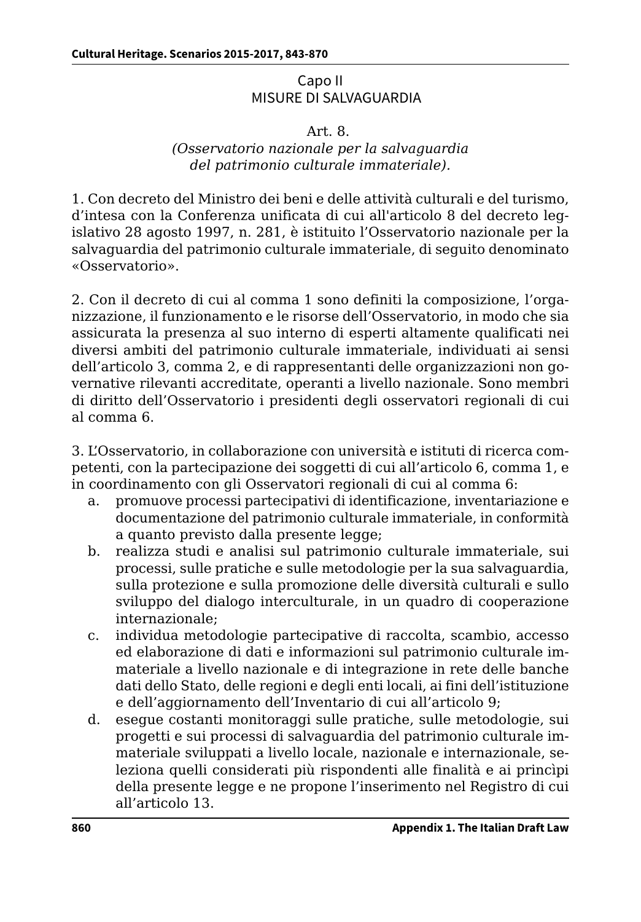## Capo II MISURE DI SALVAGUARDIA

#### Art. 8.

#### *(Osservatorio nazionale per la salvaguardia del patrimonio culturale immateriale).*

1. Con decreto del Ministro dei beni e delle attività culturali e del turismo, d'intesa con la Conferenza unificata di cui all'articolo 8 del decreto legislativo 28 agosto 1997, n. 281, è istituito l'Osservatorio nazionale per la salvaguardia del patrimonio culturale immateriale, di seguito denominato «Osservatorio».

2. Con il decreto di cui al comma 1 sono definiti la composizione, l'organizzazione, il funzionamento e le risorse dell'Osservatorio, in modo che sia assicurata la presenza al suo interno di esperti altamente qualificati nei diversi ambiti del patrimonio culturale immateriale, individuati ai sensi dell'articolo 3, comma 2, e di rappresentanti delle organizzazioni non governative rilevanti accreditate, operanti a livello nazionale. Sono membri di diritto dell'Osservatorio i presidenti degli osservatori regionali di cui al comma 6.

3. L'Osservatorio, in collaborazione con università e istituti di ricerca competenti, con la partecipazione dei soggetti di cui all'articolo 6, comma 1, e in coordinamento con gli Osservatori regionali di cui al comma 6:

- a. promuove processi partecipativi di identificazione, inventariazione e documentazione del patrimonio culturale immateriale, in conformità a quanto previsto dalla presente legge;
- b. realizza studi e analisi sul patrimonio culturale immateriale, sui processi, sulle pratiche e sulle metodologie per la sua salvaguardia, sulla protezione e sulla promozione delle diversità culturali e sullo sviluppo del dialogo interculturale, in un quadro di cooperazione internazionale;
- c. individua metodologie partecipative di raccolta, scambio, accesso ed elaborazione di dati e informazioni sul patrimonio culturale immateriale a livello nazionale e di integrazione in rete delle banche dati dello Stato, delle regioni e degli enti locali, ai fini dell'istituzione e dell'aggiornamento dell'Inventario di cui all'articolo 9;
- d. esegue costanti monitoraggi sulle pratiche, sulle metodologie, sui progetti e sui processi di salvaguardia del patrimonio culturale immateriale sviluppati a livello locale, nazionale e internazionale, seleziona quelli considerati più rispondenti alle finalità e ai princìpi della presente legge e ne propone l'inserimento nel Registro di cui all'articolo 13.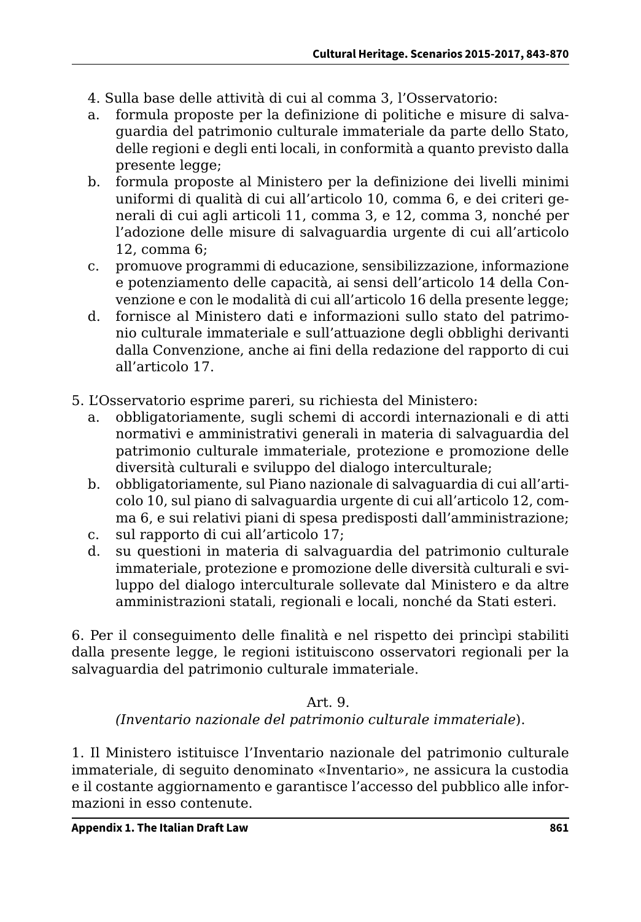- 4. Sulla base delle attività di cui al comma 3, l'Osservatorio:
- a. formula proposte per la definizione di politiche e misure di salvaguardia del patrimonio culturale immateriale da parte dello Stato, delle regioni e degli enti locali, in conformità a quanto previsto dalla presente legge:
- b. formula proposte al Ministero per la definizione dei livelli minimi uniformi di qualità di cui all'articolo 10, comma 6, e dei criteri generali di cui agli articoli 11, comma 3, e 12, comma 3, nonché per l'adozione delle misure di salvaguardia urgente di cui all'articolo 12, comma 6;
- c. promuove programmi di educazione, sensibilizzazione, informazione e potenziamento delle capacità, ai sensi dell'articolo 14 della Convenzione e con le modalità di cui all'articolo 16 della presente legge;
- d. fornisce al Ministero dati e informazioni sullo stato del patrimonio culturale immateriale e sull'attuazione degli obblighi derivanti dalla Convenzione, anche ai fini della redazione del rapporto di cui all'articolo 17.
- 5. L'Osservatorio esprime pareri, su richiesta del Ministero:
	- a. obbligatoriamente, sugli schemi di accordi internazionali e di atti normativi e amministrativi generali in materia di salvaguardia del patrimonio culturale immateriale, protezione e promozione delle diversità culturali e sviluppo del dialogo interculturale;
	- b. obbligatoriamente, sul Piano nazionale di salvaguardia di cui all'articolo 10, sul piano di salvaguardia urgente di cui all'articolo 12, comma 6, e sui relativi piani di spesa predisposti dall'amministrazione;
	- c. sul rapporto di cui all'articolo 17;
	- d. su questioni in materia di salvaguardia del patrimonio culturale immateriale, protezione e promozione delle diversità culturali e sviluppo del dialogo interculturale sollevate dal Ministero e da altre amministrazioni statali, regionali e locali, nonché da Stati esteri.

6. Per il conseguimento delle finalità e nel rispetto dei princìpi stabiliti dalla presente legge, le regioni istituiscono osservatori regionali per la salvaguardia del patrimonio culturale immateriale.

## Art. 9.

*(Inventario nazionale del patrimonio culturale immateriale*).

1. Il Ministero istituisce l'Inventario nazionale del patrimonio culturale immateriale, di seguito denominato «Inventario», ne assicura la custodia e il costante aggiornamento e garantisce l'accesso del pubblico alle informazioni in esso contenute.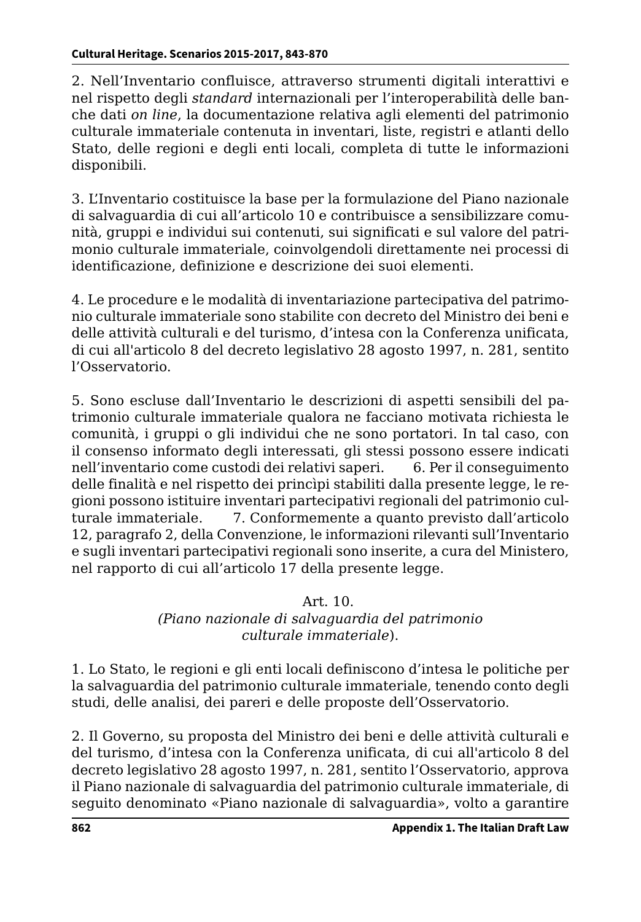2. Nell'Inventario confluisce, attraverso strumenti digitali interattivi e nel rispetto degli *standard* internazionali per l'interoperabilità delle banche dati *on line*, la documentazione relativa agli elementi del patrimonio culturale immateriale contenuta in inventari, liste, registri e atlanti dello Stato, delle regioni e degli enti locali, completa di tutte le informazioni disponibili.

3. L'Inventario costituisce la base per la formulazione del Piano nazionale di salvaguardia di cui all'articolo 10 e contribuisce a sensibilizzare comunità, gruppi e individui sui contenuti, sui significati e sul valore del patrimonio culturale immateriale, coinvolgendoli direttamente nei processi di identificazione, definizione e descrizione dei suoi elementi.

4. Le procedure e le modalità di inventariazione partecipativa del patrimonio culturale immateriale sono stabilite con decreto del Ministro dei beni e delle attività culturali e del turismo, d'intesa con la Conferenza unificata, di cui all'articolo 8 del decreto legislativo 28 agosto 1997, n. 281, sentito l'Osservatorio.

5. Sono escluse dall'Inventario le descrizioni di aspetti sensibili del patrimonio culturale immateriale qualora ne facciano motivata richiesta le comunità, i gruppi o gli individui che ne sono portatori. In tal caso, con il consenso informato degli interessati, gli stessi possono essere indicati nell'inventario come custodi dei relativi saperi. 6. Per il conseguimento delle finalità e nel rispetto dei princìpi stabiliti dalla presente legge, le regioni possono istituire inventari partecipativi regionali del patrimonio culturale immateriale. 7. Conformemente a quanto previsto dall'articolo 12, paragrafo 2, della Convenzione, le informazioni rilevanti sull'Inventario e sugli inventari partecipativi regionali sono inserite, a cura del Ministero, nel rapporto di cui all'articolo 17 della presente legge.

## Art. 10.

## *(Piano nazionale di salvaguardia del patrimonio culturale immateriale*).

1. Lo Stato, le regioni e gli enti locali definiscono d'intesa le politiche per la salvaguardia del patrimonio culturale immateriale, tenendo conto degli studi, delle analisi, dei pareri e delle proposte dell'Osservatorio.

2. Il Governo, su proposta del Ministro dei beni e delle attività culturali e del turismo, d'intesa con la Conferenza unificata, di cui all'articolo 8 del decreto legislativo 28 agosto 1997, n. 281, sentito l'Osservatorio, approva il Piano nazionale di salvaguardia del patrimonio culturale immateriale, di seguito denominato «Piano nazionale di salvaguardia», volto a garantire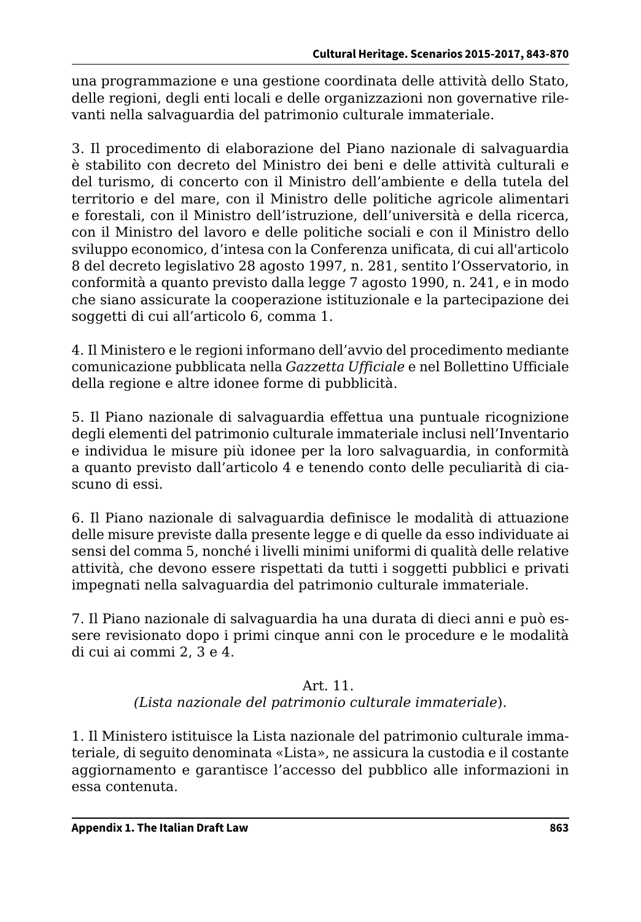una programmazione e una gestione coordinata delle attività dello Stato, delle regioni, degli enti locali e delle organizzazioni non governative rilevanti nella salvaguardia del patrimonio culturale immateriale.

3. Il procedimento di elaborazione del Piano nazionale di salvaguardia è stabilito con decreto del Ministro dei beni e delle attività culturali e del turismo, di concerto con il Ministro dell'ambiente e della tutela del territorio e del mare, con il Ministro delle politiche agricole alimentari e forestali, con il Ministro dell'istruzione, dell'università e della ricerca, con il Ministro del lavoro e delle politiche sociali e con il Ministro dello sviluppo economico, d'intesa con la Conferenza unificata, di cui all'articolo 8 del decreto legislativo 28 agosto 1997, n. 281, sentito l'Osservatorio, in conformità a quanto previsto dalla legge 7 agosto 1990, n. 241, e in modo che siano assicurate la cooperazione istituzionale e la partecipazione dei soggetti di cui all'articolo 6, comma 1.

4. Il Ministero e le regioni informano dell'avvio del procedimento mediante comunicazione pubblicata nella *Gazzetta Ufficiale* e nel Bollettino Ufficiale della regione e altre idonee forme di pubblicità.

5. Il Piano nazionale di salvaguardia effettua una puntuale ricognizione degli elementi del patrimonio culturale immateriale inclusi nell'Inventario e individua le misure più idonee per la loro salvaguardia, in conformità a quanto previsto dall'articolo 4 e tenendo conto delle peculiarità di ciascuno di essi.

6. Il Piano nazionale di salvaguardia definisce le modalità di attuazione delle misure previste dalla presente legge e di quelle da esso individuate ai sensi del comma 5, nonché i livelli minimi uniformi di qualità delle relative attività, che devono essere rispettati da tutti i soggetti pubblici e privati impegnati nella salvaguardia del patrimonio culturale immateriale.

7. Il Piano nazionale di salvaguardia ha una durata di dieci anni e può essere revisionato dopo i primi cinque anni con le procedure e le modalità di cui ai commi 2, 3 e 4.

## Art. 11.

## *(Lista nazionale del patrimonio culturale immateriale*).

1. Il Ministero istituisce la Lista nazionale del patrimonio culturale immateriale, di seguito denominata «Lista», ne assicura la custodia e il costante aggiornamento e garantisce l'accesso del pubblico alle informazioni in essa contenuta.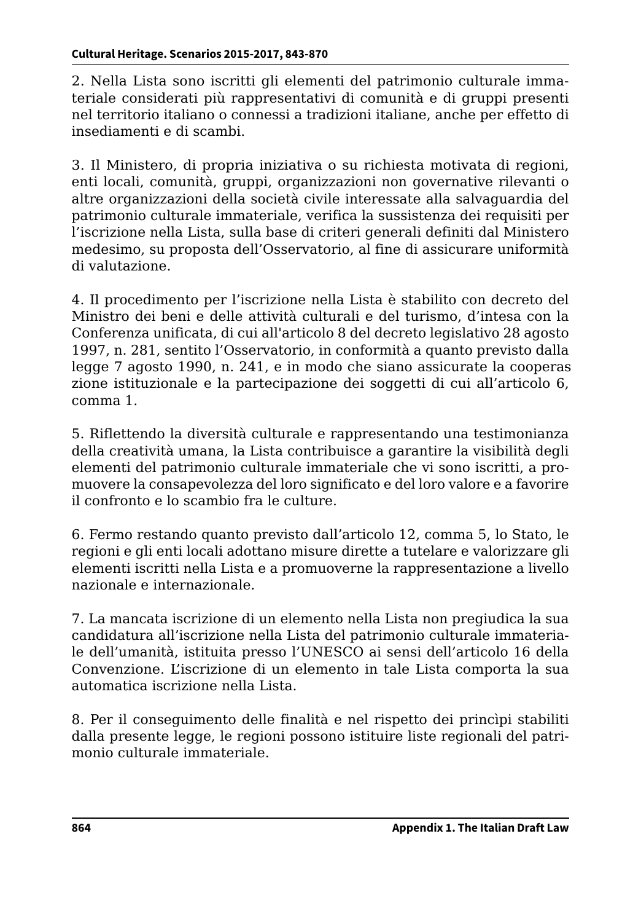2. Nella Lista sono iscritti gli elementi del patrimonio culturale immateriale considerati più rappresentativi di comunità e di gruppi presenti nel territorio italiano o connessi a tradizioni italiane, anche per effetto di insediamenti e di scambi.

3. Il Ministero, di propria iniziativa o su richiesta motivata di regioni, enti locali, comunità, gruppi, organizzazioni non governative rilevanti o altre organizzazioni della società civile interessate alla salvaguardia del patrimonio culturale immateriale, verifica la sussistenza dei requisiti per l'iscrizione nella Lista, sulla base di criteri generali definiti dal Ministero medesimo, su proposta dell'Osservatorio, al fine di assicurare uniformità di valutazione.

4. Il procedimento per l'iscrizione nella Lista è stabilito con decreto del Ministro dei beni e delle attività culturali e del turismo, d'intesa con la Conferenza unificata, di cui all'articolo 8 del decreto legislativo 28 agosto 1997, n. 281, sentito l'Osservatorio, in conformità a quanto previsto dalla legge 7 agosto 1990, n. 241, e in modo che siano assicurate la cooperaszione istituzionale e la partecipazione dei soggetti di cui all'articolo 6, comma 1.

5. Riflettendo la diversità culturale e rappresentando una testimonianza della creatività umana, la Lista contribuisce a garantire la visibilità degli elementi del patrimonio culturale immateriale che vi sono iscritti, a promuovere la consapevolezza del loro significato e del loro valore e a favorire il confronto e lo scambio fra le culture.

6. Fermo restando quanto previsto dall'articolo 12, comma 5, lo Stato, le regioni e gli enti locali adottano misure dirette a tutelare e valorizzare gli elementi iscritti nella Lista e a promuoverne la rappresentazione a livello nazionale e internazionale.

7. La mancata iscrizione di un elemento nella Lista non pregiudica la sua candidatura all'iscrizione nella Lista del patrimonio culturale immateriale dell'umanità, istituita presso l'UNESCO ai sensi dell'articolo 16 della Convenzione. L'iscrizione di un elemento in tale Lista comporta la sua automatica iscrizione nella Lista.

8. Per il conseguimento delle finalità e nel rispetto dei princìpi stabiliti dalla presente legge, le regioni possono istituire liste regionali del patrimonio culturale immateriale.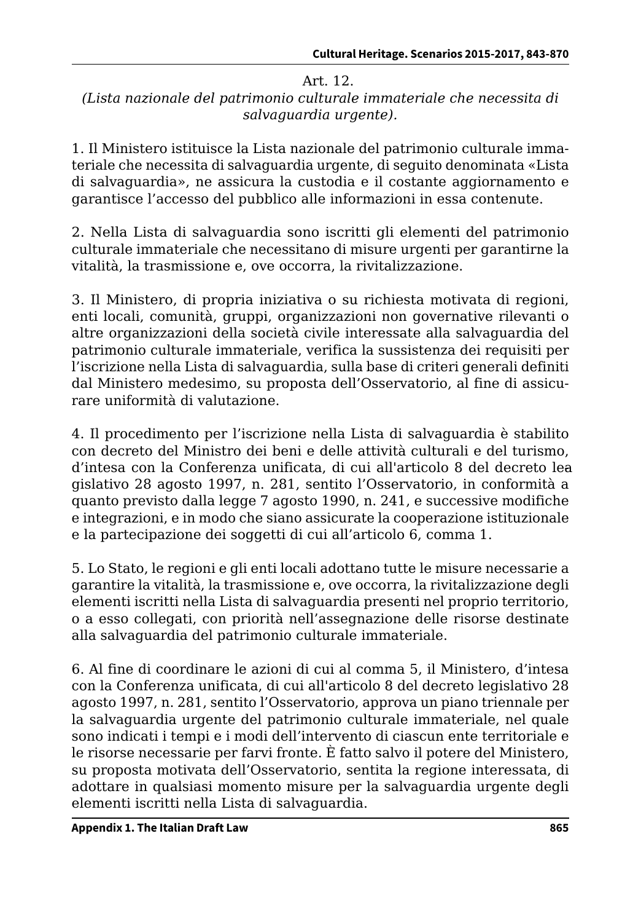#### Art. 12.

## *(Lista nazionale del patrimonio culturale immateriale che necessita di salvaguardia urgente).*

1. Il Ministero istituisce la Lista nazionale del patrimonio culturale immateriale che necessita di salvaguardia urgente, di seguito denominata «Lista di salvaguardia», ne assicura la custodia e il costante aggiornamento e garantisce l'accesso del pubblico alle informazioni in essa contenute.

2. Nella Lista di salvaguardia sono iscritti gli elementi del patrimonio culturale immateriale che necessitano di misure urgenti per garantirne la vitalità, la trasmissione e, ove occorra, la rivitalizzazione.

3. Il Ministero, di propria iniziativa o su richiesta motivata di regioni, enti locali, comunità, gruppi, organizzazioni non governative rilevanti o altre organizzazioni della società civile interessate alla salvaguardia del patrimonio culturale immateriale, verifica la sussistenza dei requisiti per l'iscrizione nella Lista di salvaguardia, sulla base di criteri generali definiti dal Ministero medesimo, su proposta dell'Osservatorio, al fine di assicurare uniformità di valutazione.

4. Il procedimento per l'iscrizione nella Lista di salvaguardia è stabilito con decreto del Ministro dei beni e delle attività culturali e del turismo, d'intesa con la Conferenza unificata, di cui all'articolo 8 del decreto lea gislativo 28 agosto 1997, n. 281, sentito l'Osservatorio, in conformità a quanto previsto dalla legge 7 agosto 1990, n. 241, e successive modifiche e integrazioni, e in modo che siano assicurate la cooperazione istituzionale e la partecipazione dei soggetti di cui all'articolo 6, comma 1.

5. Lo Stato, le regioni e gli enti locali adottano tutte le misure necessarie a garantire la vitalità, la trasmissione e, ove occorra, la rivitalizzazione degli elementi iscritti nella Lista di salvaguardia presenti nel proprio territorio, o a esso collegati, con priorità nell'assegnazione delle risorse destinate alla salvaguardia del patrimonio culturale immateriale.

6. Al fine di coordinare le azioni di cui al comma 5, il Ministero, d'intesa con la Conferenza unificata, di cui all'articolo 8 del decreto legislativo 28 agosto 1997, n. 281, sentito l'Osservatorio, approva un piano triennale per la salvaguardia urgente del patrimonio culturale immateriale, nel quale sono indicati i tempi e i modi dell'intervento di ciascun ente territoriale e le risorse necessarie per farvi fronte. È fatto salvo il potere del Ministero, su proposta motivata dell'Osservatorio, sentita la regione interessata, di adottare in qualsiasi momento misure per la salvaguardia urgente degli elementi iscritti nella Lista di salvaguardia.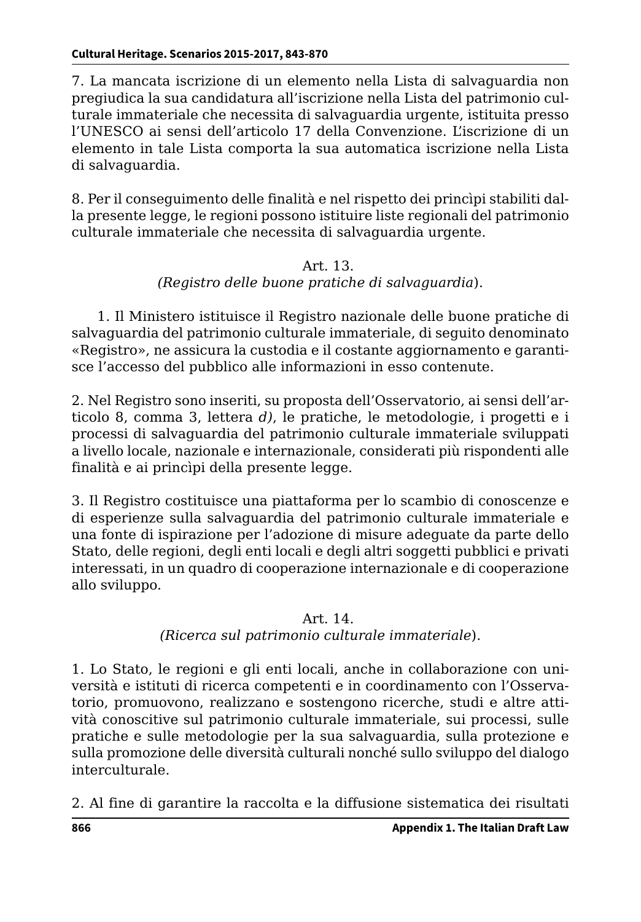7. La mancata iscrizione di un elemento nella Lista di salvaguardia non pregiudica la sua candidatura all'iscrizione nella Lista del patrimonio culturale immateriale che necessita di salvaguardia urgente, istituita presso l'UNESCO ai sensi dell'articolo 17 della Convenzione. L'iscrizione di un elemento in tale Lista comporta la sua automatica iscrizione nella Lista di salvaguardia.

8. Per il conseguimento delle finalità e nel rispetto dei princìpi stabiliti dalla presente legge, le regioni possono istituire liste regionali del patrimonio culturale immateriale che necessita di salvaguardia urgente.

## Art. 13. *(Registro delle buone pratiche di salvaguardia*).

 1. Il Ministero istituisce il Registro nazionale delle buone pratiche di salvaguardia del patrimonio culturale immateriale, di seguito denominato «Registro», ne assicura la custodia e il costante aggiornamento e garantisce l'accesso del pubblico alle informazioni in esso contenute.

2. Nel Registro sono inseriti, su proposta dell'Osservatorio, ai sensi dell'articolo 8, comma 3, lettera *d)*, le pratiche, le metodologie, i progetti e i processi di salvaguardia del patrimonio culturale immateriale sviluppati a livello locale, nazionale e internazionale, considerati più rispondenti alle finalità e ai princìpi della presente legge.

3. Il Registro costituisce una piattaforma per lo scambio di conoscenze e di esperienze sulla salvaguardia del patrimonio culturale immateriale e una fonte di ispirazione per l'adozione di misure adeguate da parte dello Stato, delle regioni, degli enti locali e degli altri soggetti pubblici e privati interessati, in un quadro di cooperazione internazionale e di cooperazione allo sviluppo.

## Art. 14.

## *(Ricerca sul patrimonio culturale immateriale*).

1. Lo Stato, le regioni e gli enti locali, anche in collaborazione con università e istituti di ricerca competenti e in coordinamento con l'Osservatorio, promuovono, realizzano e sostengono ricerche, studi e altre attività conoscitive sul patrimonio culturale immateriale, sui processi, sulle pratiche e sulle metodologie per la sua salvaguardia, sulla protezione e sulla promozione delle diversità culturali nonché sullo sviluppo del dialogo interculturale.

2. Al fine di garantire la raccolta e la diffusione sistematica dei risultati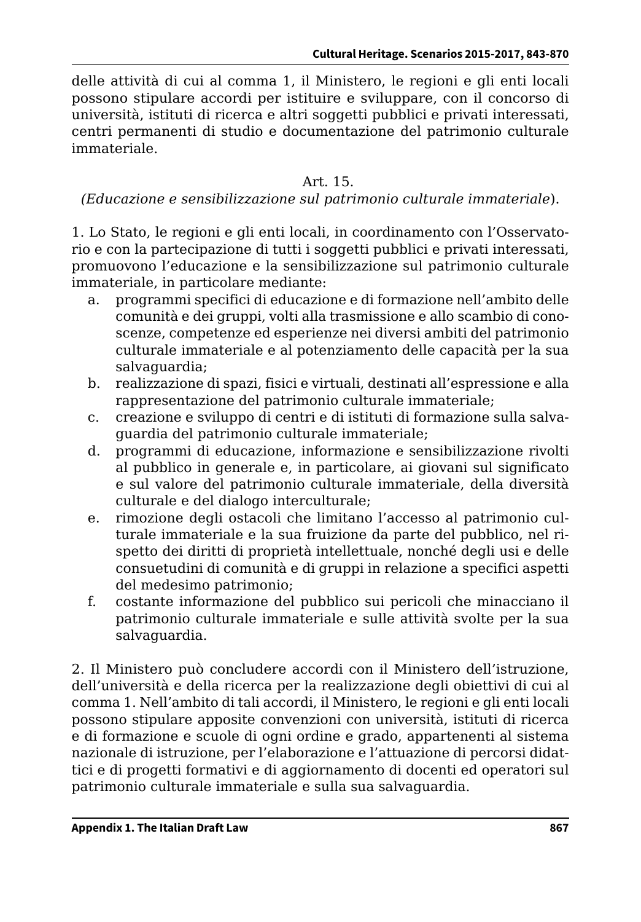delle attività di cui al comma 1, il Ministero, le regioni e gli enti locali possono stipulare accordi per istituire e sviluppare, con il concorso di università, istituti di ricerca e altri soggetti pubblici e privati interessati, centri permanenti di studio e documentazione del patrimonio culturale immateriale.

#### Art. 15.

#### *(Educazione e sensibilizzazione sul patrimonio culturale immateriale*).

1. Lo Stato, le regioni e gli enti locali, in coordinamento con l'Osservatorio e con la partecipazione di tutti i soggetti pubblici e privati interessati, promuovono l'educazione e la sensibilizzazione sul patrimonio culturale immateriale, in particolare mediante:

- a. programmi specifici di educazione e di formazione nell'ambito delle comunità e dei gruppi, volti alla trasmissione e allo scambio di conoscenze, competenze ed esperienze nei diversi ambiti del patrimonio culturale immateriale e al potenziamento delle capacità per la sua salvaguardia:
- b. realizzazione di spazi, fisici e virtuali, destinati all'espressione e alla rappresentazione del patrimonio culturale immateriale;
- c. creazione e sviluppo di centri e di istituti di formazione sulla salvaguardia del patrimonio culturale immateriale;
- d. programmi di educazione, informazione e sensibilizzazione rivolti al pubblico in generale e, in particolare, ai giovani sul significato e sul valore del patrimonio culturale immateriale, della diversità culturale e del dialogo interculturale;
- e. rimozione degli ostacoli che limitano l'accesso al patrimonio culturale immateriale e la sua fruizione da parte del pubblico, nel rispetto dei diritti di proprietà intellettuale, nonché degli usi e delle consuetudini di comunità e di gruppi in relazione a specifici aspetti del medesimo patrimonio;
- f. costante informazione del pubblico sui pericoli che minacciano il patrimonio culturale immateriale e sulle attività svolte per la sua salvaguardia.

2. Il Ministero può concludere accordi con il Ministero dell'istruzione, dell'università e della ricerca per la realizzazione degli obiettivi di cui al comma 1. Nell'ambito di tali accordi, il Ministero, le regioni e gli enti locali possono stipulare apposite convenzioni con università, istituti di ricerca e di formazione e scuole di ogni ordine e grado, appartenenti al sistema nazionale di istruzione, per l'elaborazione e l'attuazione di percorsi didattici e di progetti formativi e di aggiornamento di docenti ed operatori sul patrimonio culturale immateriale e sulla sua salvaguardia.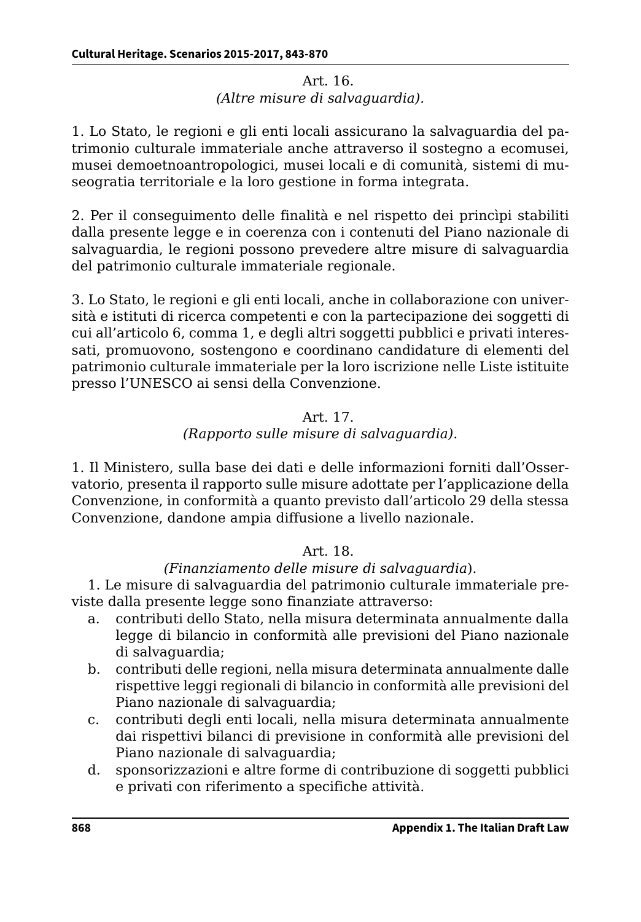#### Art. 16. *(Altre misure di salvaguardia).*

1. Lo Stato, le regioni e gli enti locali assicurano la salvaguardia del patrimonio culturale immateriale anche attraverso il sostegno a ecomusei, musei demoetnoantropologici, musei locali e di comunità, sistemi di museogratia territoriale e la loro gestione in forma integrata.

2. Per il conseguimento delle finalità e nel rispetto dei princìpi stabiliti dalla presente legge e in coerenza con i contenuti del Piano nazionale di salvaguardia, le regioni possono prevedere altre misure di salvaguardia del patrimonio culturale immateriale regionale.

3. Lo Stato, le regioni e gli enti locali, anche in collaborazione con università e istituti di ricerca competenti e con la partecipazione dei soggetti di cui all'articolo 6, comma 1, e degli altri soggetti pubblici e privati interessati, promuovono, sostengono e coordinano candidature di elementi del patrimonio culturale immateriale per la loro iscrizione nelle Liste istituite presso l'UNESCO ai sensi della Convenzione.

## Art. 17.

## *(Rapporto sulle misure di salvaguardia).*

1. Il Ministero, sulla base dei dati e delle informazioni forniti dall'Osservatorio, presenta il rapporto sulle misure adottate per l'applicazione della Convenzione, in conformità a quanto previsto dall'articolo 29 della stessa Convenzione, dandone ampia diffusione a livello nazionale.

## Art. 18.

## *(Finanziamento delle misure di salvaguardia*).

1. Le misure di salvaguardia del patrimonio culturale immateriale previste dalla presente legge sono finanziate attraverso:

- a. contributi dello Stato, nella misura determinata annualmente dalla legge di bilancio in conformità alle previsioni del Piano nazionale di salvaguardia;
- b. contributi delle regioni, nella misura determinata annualmente dalle rispettive leggi regionali di bilancio in conformità alle previsioni del Piano nazionale di salvaguardia;
- c. contributi degli enti locali, nella misura determinata annualmente dai rispettivi bilanci di previsione in conformità alle previsioni del Piano nazionale di salvaguardia;
- d. sponsorizzazioni e altre forme di contribuzione di soggetti pubblici e privati con riferimento a specifiche attività.